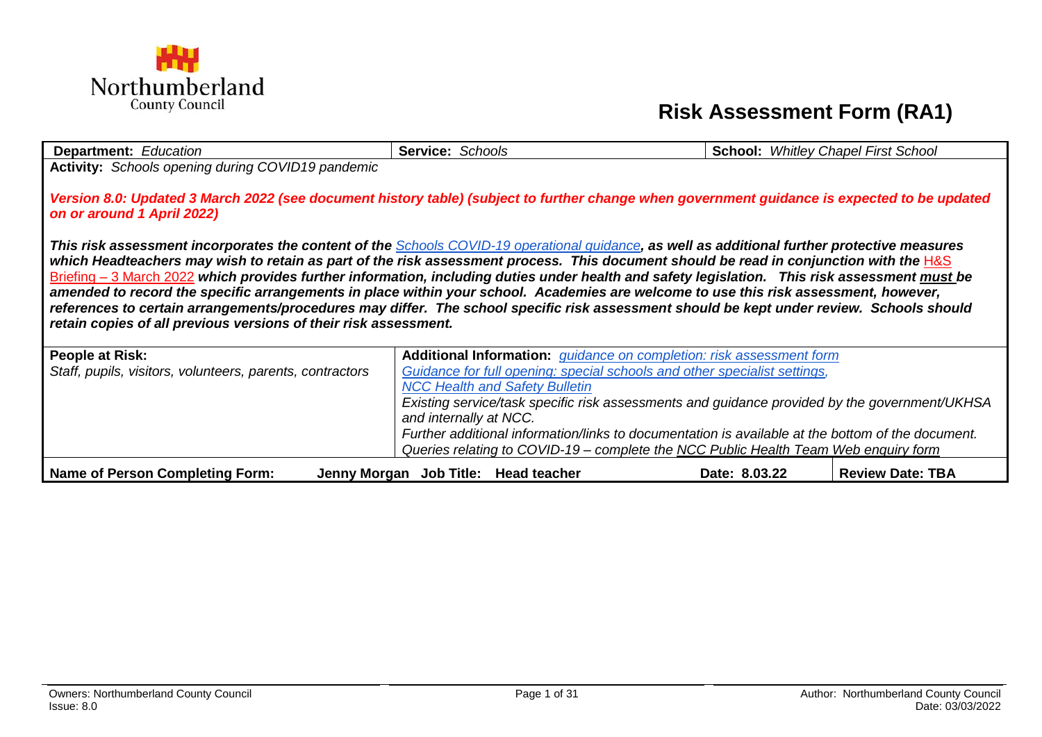

## **Risk Assessment Form (RA1)**

| <b>Department: Education</b>                                                                                                                   | Service: Schools                                                                                                                     | <b>School:</b> Whitley Chapel First School |                         |  |  |  |
|------------------------------------------------------------------------------------------------------------------------------------------------|--------------------------------------------------------------------------------------------------------------------------------------|--------------------------------------------|-------------------------|--|--|--|
| Activity: Schools opening during COVID19 pandemic                                                                                              |                                                                                                                                      |                                            |                         |  |  |  |
|                                                                                                                                                |                                                                                                                                      |                                            |                         |  |  |  |
| Version 8.0: Updated 3 March 2022 (see document history table) (subject to further change when government guidance is expected to be updated   |                                                                                                                                      |                                            |                         |  |  |  |
| on or around 1 April 2022)                                                                                                                     |                                                                                                                                      |                                            |                         |  |  |  |
|                                                                                                                                                |                                                                                                                                      |                                            |                         |  |  |  |
| This risk assessment incorporates the content of the Schools COVID-19 operational guidance, as well as additional further protective measures  |                                                                                                                                      |                                            |                         |  |  |  |
| which Headteachers may wish to retain as part of the risk assessment process. This document should be read in conjunction with the H&S         |                                                                                                                                      |                                            |                         |  |  |  |
| Briefing – 3 March 2022 which provides further information, including duties under health and safety legislation. This risk assessment must be |                                                                                                                                      |                                            |                         |  |  |  |
|                                                                                                                                                | amended to record the specific arrangements in place within your school. Academies are welcome to use this risk assessment, however, |                                            |                         |  |  |  |
| references to certain arrangements/procedures may differ. The school specific risk assessment should be kept under review. Schools should      |                                                                                                                                      |                                            |                         |  |  |  |
| retain copies of all previous versions of their risk assessment.                                                                               |                                                                                                                                      |                                            |                         |  |  |  |
| People at Risk:                                                                                                                                | Additional Information: <i>guidance on completion: risk assessment form</i>                                                          |                                            |                         |  |  |  |
| Staff, pupils, visitors, volunteers, parents, contractors                                                                                      | Guidance for full opening: special schools and other specialist settings,                                                            |                                            |                         |  |  |  |
|                                                                                                                                                | <b>NCC Health and Safety Bulletin</b>                                                                                                |                                            |                         |  |  |  |
|                                                                                                                                                | Existing service/task specific risk assessments and guidance provided by the government/UKHSA                                        |                                            |                         |  |  |  |
|                                                                                                                                                | and internally at NCC.                                                                                                               |                                            |                         |  |  |  |
|                                                                                                                                                | Further additional information/links to documentation is available at the bottom of the document.                                    |                                            |                         |  |  |  |
|                                                                                                                                                | Queries relating to COVID-19 – complete the NCC Public Health Team Web enquiry form                                                  |                                            |                         |  |  |  |
| Name of Person Completing Form:                                                                                                                | Jenny Morgan Job Title: Head teacher                                                                                                 | Date: 8.03.22                              | <b>Review Date: TBA</b> |  |  |  |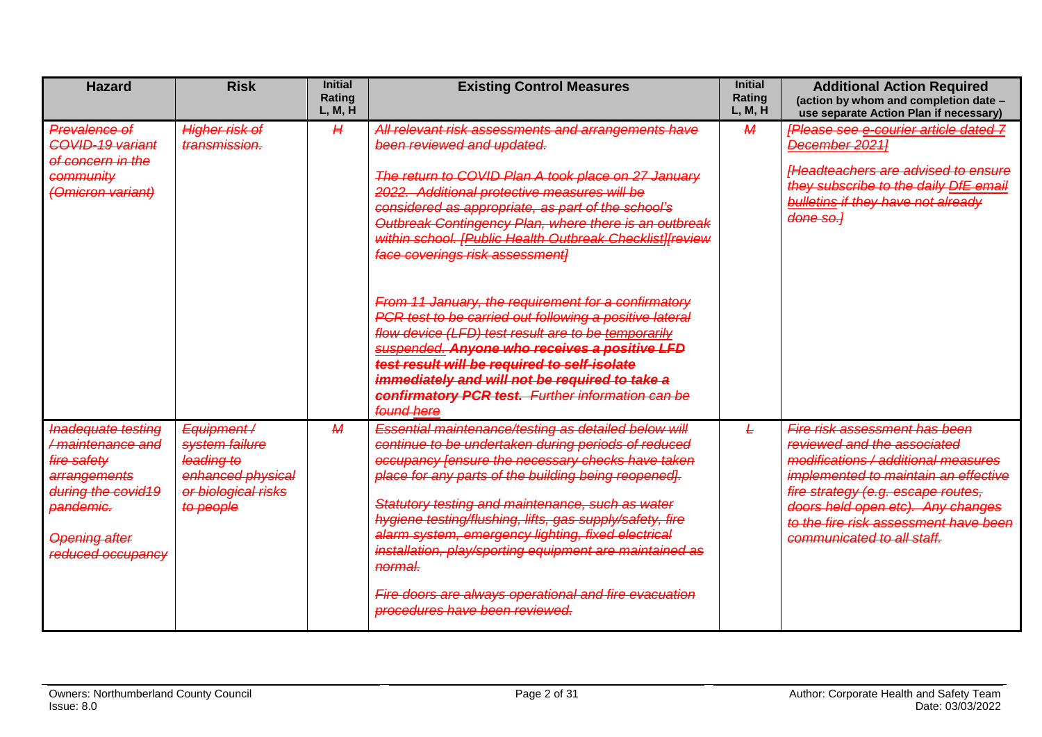<span id="page-1-0"></span>

| <b>Hazard</b>                                                                                                                                                | <b>Risk</b>                                                                                         | <b>Initial</b><br><b>Rating</b><br>L, M, H | <b>Existing Control Measures</b>                                                                                                                                                                                                                                                                                                                                                                                                                                                                                                                                                                                                                                                                                                                                                                      | <b>Initial</b><br>Rating<br>L, M, H | <b>Additional Action Required</b><br>(action by whom and completion date -<br>use separate Action Plan if necessary)                                                                                                                                                                          |
|--------------------------------------------------------------------------------------------------------------------------------------------------------------|-----------------------------------------------------------------------------------------------------|--------------------------------------------|-------------------------------------------------------------------------------------------------------------------------------------------------------------------------------------------------------------------------------------------------------------------------------------------------------------------------------------------------------------------------------------------------------------------------------------------------------------------------------------------------------------------------------------------------------------------------------------------------------------------------------------------------------------------------------------------------------------------------------------------------------------------------------------------------------|-------------------------------------|-----------------------------------------------------------------------------------------------------------------------------------------------------------------------------------------------------------------------------------------------------------------------------------------------|
| Prevalence of<br>COVID-19 variant<br>of concern in the<br>community<br>(Omicron variant)                                                                     | <b>Higher risk of</b><br>transmission.                                                              | H                                          | All relevant risk assessments and arrangements have<br>been reviewed and updated.<br>The return to COVID Plan A took place on 27 January<br>2022. Additional protective measures will be<br>considered as appropriate, as part of the school's<br>Outbreak Contingency Plan, where there is an outbreak<br>within school. [Public Health Outbreak Checklist][review<br>face coverings risk assessment]<br>From 11 January, the requirement for a confirmatory<br>PCR test to be carried out following a positive lateral<br>flow device (LFD) test result are to be temporarily<br>suspended. Anyone who receives a positive LFD<br>test result will be required to self-isolate<br>immediately and will not be required to take a<br>confirmatory PCR test. Further information can be<br>found here | $\overline{\mathcal{M}}$            | <b>[Please see e-courier article dated 7</b><br>December 2021]<br><b>Headteachers are advised to ensure</b><br>they subscribe to the daily DfE email<br><b>bulletins if they have not already</b><br>done so.]                                                                                |
| <b>Inadequate testing</b><br>/maintenance and<br>fire safety<br>arrangements<br>during the covid19<br>pandemic.<br><b>Opening after</b><br>reduced occupancy | Equipment/<br>system failure<br>leading to<br>enhanced physical<br>or biological risks<br>to people | $\overline{\mathcal{M}}$                   | Essential maintenance/testing as detailed below will<br>continue to be undertaken during periods of reduced<br>occupancy [ensure the necessary checks have taken<br>place for any parts of the building being reopened.<br>Statutory testing and maintenance, such as water<br>hygiene testing/flushing, lifts, gas supply/safety, fire<br>alarm system, emergency lighting, fixed electrical<br>installation, play/sporting equipment are maintained as<br>normal.<br>Fire doors are always operational and fire evacuation<br>procedures have been reviewed.                                                                                                                                                                                                                                        | Ł                                   | Fire risk assessment has been<br>reviewed and the associated<br>modifications / additional measures<br>implemented to maintain an effective<br>fire strategy (e.g. escape routes,<br>doors held open etc). Any changes<br>to the fire risk assessment have been<br>communicated to all staff. |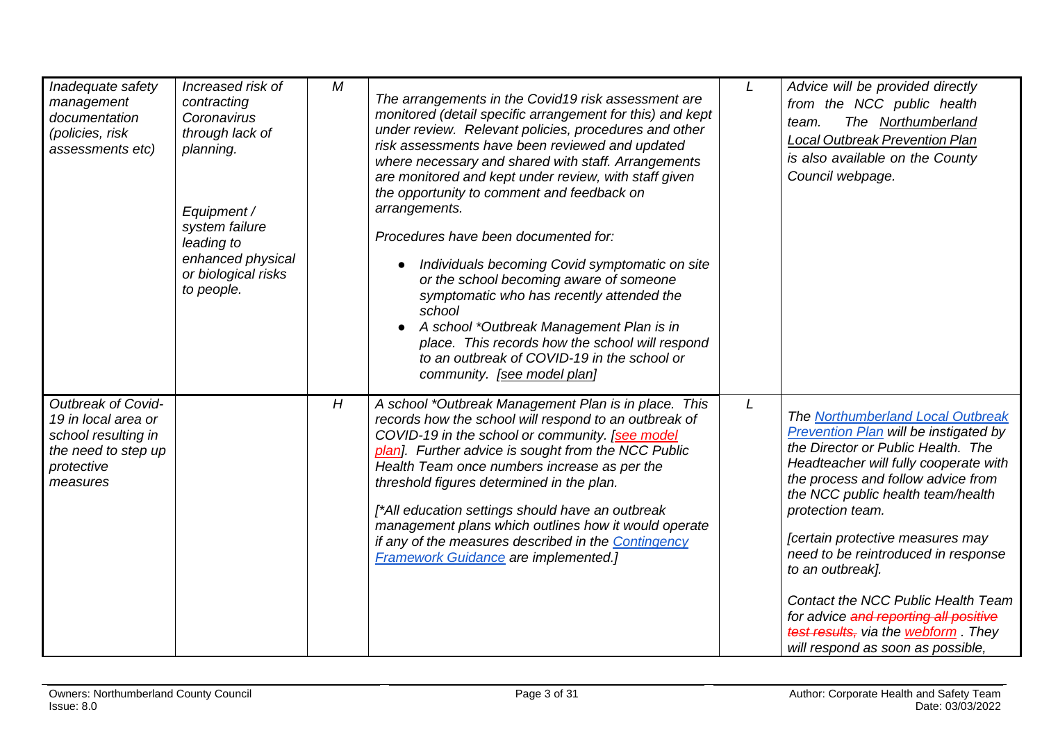<span id="page-2-0"></span>

| Inadequate safety<br>management<br>documentation<br>(policies, risk<br>assessments etc)                           | Increased risk of<br>contracting<br>Coronavirus<br>through lack of<br>planning.<br>Equipment /<br>system failure<br>leading to<br>enhanced physical<br>or biological risks<br>to people. | M | The arrangements in the Covid19 risk assessment are<br>monitored (detail specific arrangement for this) and kept<br>under review. Relevant policies, procedures and other<br>risk assessments have been reviewed and updated<br>where necessary and shared with staff. Arrangements<br>are monitored and kept under review, with staff given<br>the opportunity to comment and feedback on<br>arrangements.<br>Procedures have been documented for:<br>Individuals becoming Covid symptomatic on site<br>or the school becoming aware of someone<br>symptomatic who has recently attended the<br>school<br>A school *Outbreak Management Plan is in<br>place. This records how the school will respond<br>to an outbreak of COVID-19 in the school or<br>community. [see model plan] | L | Advice will be provided directly<br>from the NCC public health<br>The Northumberland<br>team.<br><b>Local Outbreak Prevention Plan</b><br>is also available on the County<br>Council webpage.                                                                                                                                                                                                                                                                                                                      |
|-------------------------------------------------------------------------------------------------------------------|------------------------------------------------------------------------------------------------------------------------------------------------------------------------------------------|---|--------------------------------------------------------------------------------------------------------------------------------------------------------------------------------------------------------------------------------------------------------------------------------------------------------------------------------------------------------------------------------------------------------------------------------------------------------------------------------------------------------------------------------------------------------------------------------------------------------------------------------------------------------------------------------------------------------------------------------------------------------------------------------------|---|--------------------------------------------------------------------------------------------------------------------------------------------------------------------------------------------------------------------------------------------------------------------------------------------------------------------------------------------------------------------------------------------------------------------------------------------------------------------------------------------------------------------|
| Outbreak of Covid-<br>19 in local area or<br>school resulting in<br>the need to step up<br>protective<br>measures |                                                                                                                                                                                          | H | A school *Outbreak Management Plan is in place. This<br>records how the school will respond to an outbreak of<br>COVID-19 in the school or community. [see model<br>plan]. Further advice is sought from the NCC Public<br>Health Team once numbers increase as per the<br>threshold figures determined in the plan.<br>[*All education settings should have an outbreak<br>management plans which outlines how it would operate<br>if any of the measures described in the Contingency<br><b>Framework Guidance are implemented.]</b>                                                                                                                                                                                                                                               | L | The Northumberland Local Outbreak<br>Prevention Plan will be instigated by<br>the Director or Public Health. The<br>Headteacher will fully cooperate with<br>the process and follow advice from<br>the NCC public health team/health<br>protection team.<br>[certain protective measures may<br>need to be reintroduced in response<br>to an outbreak].<br>Contact the NCC Public Health Team<br>for advice and reporting all positive<br>test results, via the webform. They<br>will respond as soon as possible, |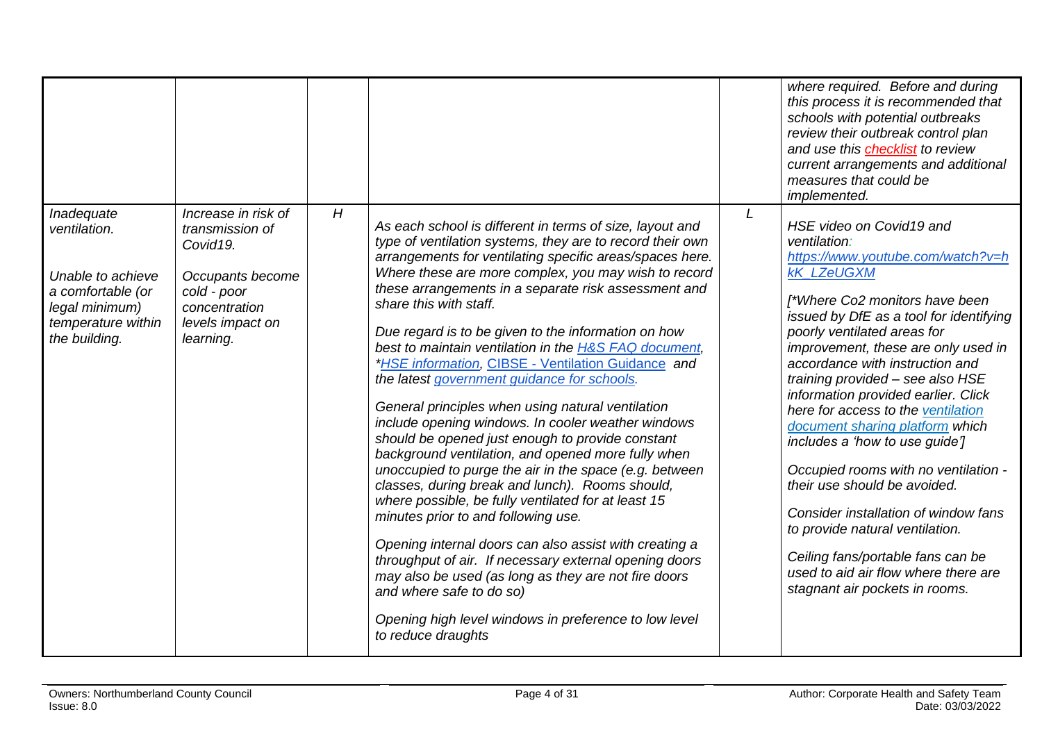<span id="page-3-0"></span>

|                                                                                                                               |                                                                                                                                                      |   |                                                                                                                                                                                                                                                                                                                                                                                                                                                                                                                                                                                                                                                                                                                                                                                                                                                                                                                                                                                                                                                                                                                                                                                                                                                                         |   | where required. Before and during<br>this process it is recommended that<br>schools with potential outbreaks<br>review their outbreak control plan<br>and use this checklist to review<br>current arrangements and additional<br>measures that could be<br>implemented.                                                                                                                                                                                                                                                                                                                                                                                                                                                                          |
|-------------------------------------------------------------------------------------------------------------------------------|------------------------------------------------------------------------------------------------------------------------------------------------------|---|-------------------------------------------------------------------------------------------------------------------------------------------------------------------------------------------------------------------------------------------------------------------------------------------------------------------------------------------------------------------------------------------------------------------------------------------------------------------------------------------------------------------------------------------------------------------------------------------------------------------------------------------------------------------------------------------------------------------------------------------------------------------------------------------------------------------------------------------------------------------------------------------------------------------------------------------------------------------------------------------------------------------------------------------------------------------------------------------------------------------------------------------------------------------------------------------------------------------------------------------------------------------------|---|--------------------------------------------------------------------------------------------------------------------------------------------------------------------------------------------------------------------------------------------------------------------------------------------------------------------------------------------------------------------------------------------------------------------------------------------------------------------------------------------------------------------------------------------------------------------------------------------------------------------------------------------------------------------------------------------------------------------------------------------------|
| Inadequate<br>ventilation.<br>Unable to achieve<br>a comfortable (or<br>legal minimum)<br>temperature within<br>the building. | Increase in risk of<br>transmission of<br>Covid <sub>19</sub> .<br>Occupants become<br>cold - poor<br>concentration<br>levels impact on<br>learning. | H | As each school is different in terms of size, layout and<br>type of ventilation systems, they are to record their own<br>arrangements for ventilating specific areas/spaces here.<br>Where these are more complex, you may wish to record<br>these arrangements in a separate risk assessment and<br>share this with staff.<br>Due regard is to be given to the information on how<br>best to maintain ventilation in the H&S FAQ document,<br>*HSE information, CIBSE - Ventilation Guidance and<br>the latest government quidance for schools.<br>General principles when using natural ventilation<br>include opening windows. In cooler weather windows<br>should be opened just enough to provide constant<br>background ventilation, and opened more fully when<br>unoccupied to purge the air in the space (e.g. between<br>classes, during break and lunch). Rooms should,<br>where possible, be fully ventilated for at least 15<br>minutes prior to and following use.<br>Opening internal doors can also assist with creating a<br>throughput of air. If necessary external opening doors<br>may also be used (as long as they are not fire doors<br>and where safe to do so)<br>Opening high level windows in preference to low level<br>to reduce draughts | L | HSE video on Covid19 and<br>ventilation:<br>https://www.youtube.com/watch?v=h<br><b>kK_LZeUGXM</b><br>[*Where Co2 monitors have been<br>issued by DfE as a tool for identifying<br>poorly ventilated areas for<br>improvement, these are only used in<br>accordance with instruction and<br>training provided - see also HSE<br>information provided earlier. Click<br>here for access to the ventilation<br>document sharing platform which<br>includes a 'how to use guide']<br>Occupied rooms with no ventilation -<br>their use should be avoided.<br>Consider installation of window fans<br>to provide natural ventilation.<br>Ceiling fans/portable fans can be<br>used to aid air flow where there are<br>stagnant air pockets in rooms. |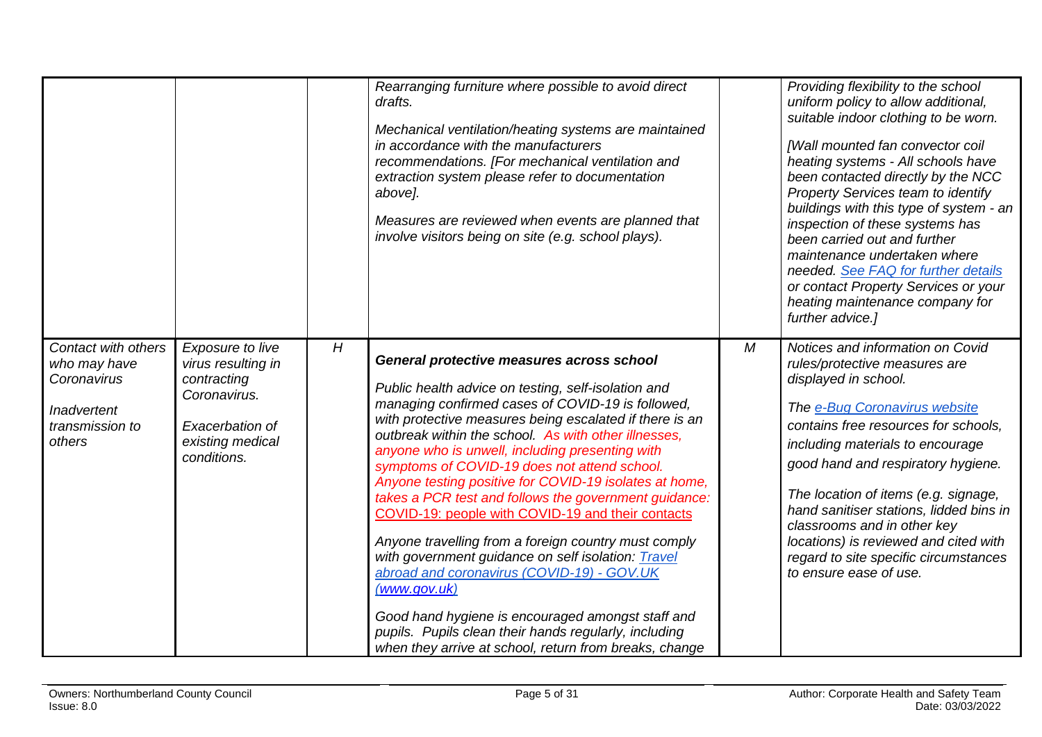<span id="page-4-0"></span>

|                                                                                                |                                                                                                                             |   | Rearranging furniture where possible to avoid direct<br>drafts.<br>Mechanical ventilation/heating systems are maintained<br>in accordance with the manufacturers<br>recommendations. [For mechanical ventilation and<br>extraction system please refer to documentation<br>above].<br>Measures are reviewed when events are planned that<br>involve visitors being on site (e.g. school plays).                                                                                                                                                                                                                                                                                                                                                                                                                                                                                                         |   | Providing flexibility to the school<br>uniform policy to allow additional,<br>suitable indoor clothing to be worn.<br>[Wall mounted fan convector coil<br>heating systems - All schools have<br>been contacted directly by the NCC<br>Property Services team to identify<br>buildings with this type of system - an<br>inspection of these systems has<br>been carried out and further<br>maintenance undertaken where<br>needed. See FAQ for further details<br>or contact Property Services or your<br>heating maintenance company for<br>further advice.] |
|------------------------------------------------------------------------------------------------|-----------------------------------------------------------------------------------------------------------------------------|---|---------------------------------------------------------------------------------------------------------------------------------------------------------------------------------------------------------------------------------------------------------------------------------------------------------------------------------------------------------------------------------------------------------------------------------------------------------------------------------------------------------------------------------------------------------------------------------------------------------------------------------------------------------------------------------------------------------------------------------------------------------------------------------------------------------------------------------------------------------------------------------------------------------|---|--------------------------------------------------------------------------------------------------------------------------------------------------------------------------------------------------------------------------------------------------------------------------------------------------------------------------------------------------------------------------------------------------------------------------------------------------------------------------------------------------------------------------------------------------------------|
| Contact with others<br>who may have<br>Coronavirus<br>Inadvertent<br>transmission to<br>others | Exposure to live<br>virus resulting in<br>contracting<br>Coronavirus.<br>Exacerbation of<br>existing medical<br>conditions. | H | General protective measures across school<br>Public health advice on testing, self-isolation and<br>managing confirmed cases of COVID-19 is followed,<br>with protective measures being escalated if there is an<br>outbreak within the school. As with other illnesses,<br>anyone who is unwell, including presenting with<br>symptoms of COVID-19 does not attend school.<br>Anyone testing positive for COVID-19 isolates at home,<br>takes a PCR test and follows the government guidance:<br>COVID-19: people with COVID-19 and their contacts<br>Anyone travelling from a foreign country must comply<br>with government guidance on self isolation: Travel<br>abroad and coronavirus (COVID-19) - GOV.UK<br>(www.gov.uk)<br>Good hand hygiene is encouraged amongst staff and<br>pupils. Pupils clean their hands regularly, including<br>when they arrive at school, return from breaks, change | M | Notices and information on Covid<br>rules/protective measures are<br>displayed in school.<br>The e-Bug Coronavirus website<br>contains free resources for schools.<br>including materials to encourage<br>good hand and respiratory hygiene.<br>The location of items (e.g. signage,<br>hand sanitiser stations, lidded bins in<br>classrooms and in other key<br>locations) is reviewed and cited with<br>regard to site specific circumstances<br>to ensure ease of use.                                                                                   |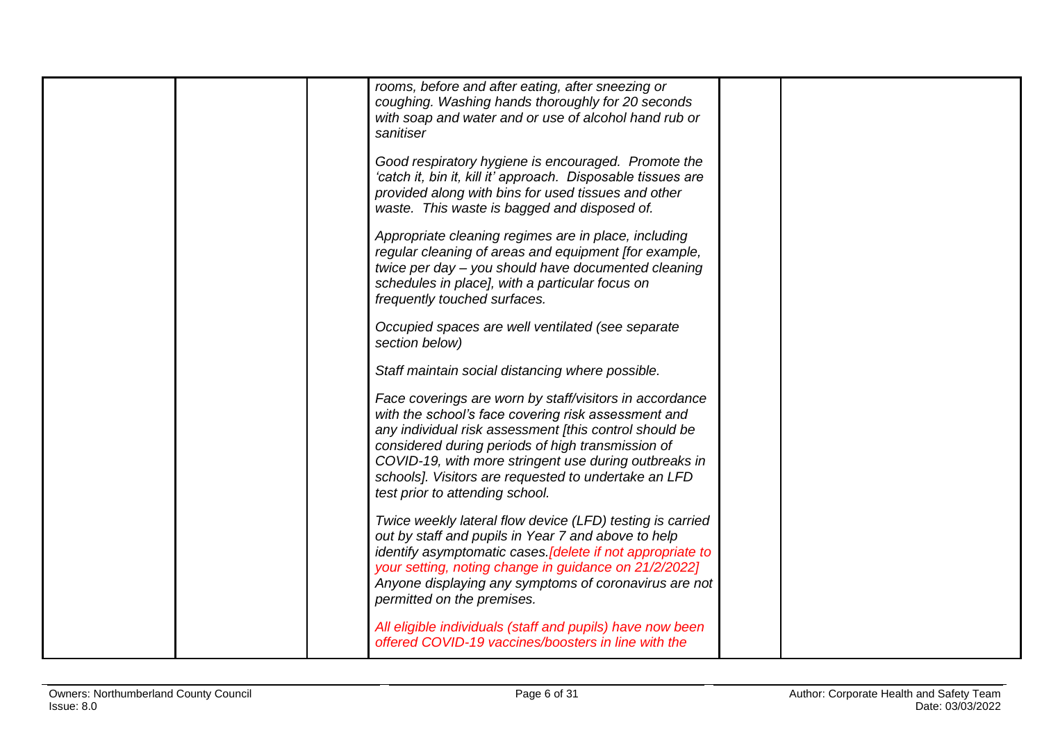| rooms, before and after eating, after sneezing or<br>coughing. Washing hands thoroughly for 20 seconds<br>with soap and water and or use of alcohol hand rub or<br>sanitiser                                                                                                                                                                                                      |
|-----------------------------------------------------------------------------------------------------------------------------------------------------------------------------------------------------------------------------------------------------------------------------------------------------------------------------------------------------------------------------------|
| Good respiratory hygiene is encouraged. Promote the<br>'catch it, bin it, kill it' approach. Disposable tissues are<br>provided along with bins for used tissues and other<br>waste. This waste is bagged and disposed of.                                                                                                                                                        |
| Appropriate cleaning regimes are in place, including<br>regular cleaning of areas and equipment [for example,<br>twice per day - you should have documented cleaning<br>schedules in place], with a particular focus on<br>frequently touched surfaces.                                                                                                                           |
| Occupied spaces are well ventilated (see separate<br>section below)                                                                                                                                                                                                                                                                                                               |
| Staff maintain social distancing where possible.                                                                                                                                                                                                                                                                                                                                  |
| Face coverings are worn by staff/visitors in accordance<br>with the school's face covering risk assessment and<br>any individual risk assessment [this control should be<br>considered during periods of high transmission of<br>COVID-19, with more stringent use during outbreaks in<br>schools]. Visitors are requested to undertake an LFD<br>test prior to attending school. |
| Twice weekly lateral flow device (LFD) testing is carried<br>out by staff and pupils in Year 7 and above to help<br>identify asymptomatic cases. [delete if not appropriate to<br>your setting, noting change in guidance on 21/2/2022]<br>Anyone displaying any symptoms of coronavirus are not<br>permitted on the premises.                                                    |
| All eligible individuals (staff and pupils) have now been<br>offered COVID-19 vaccines/boosters in line with the                                                                                                                                                                                                                                                                  |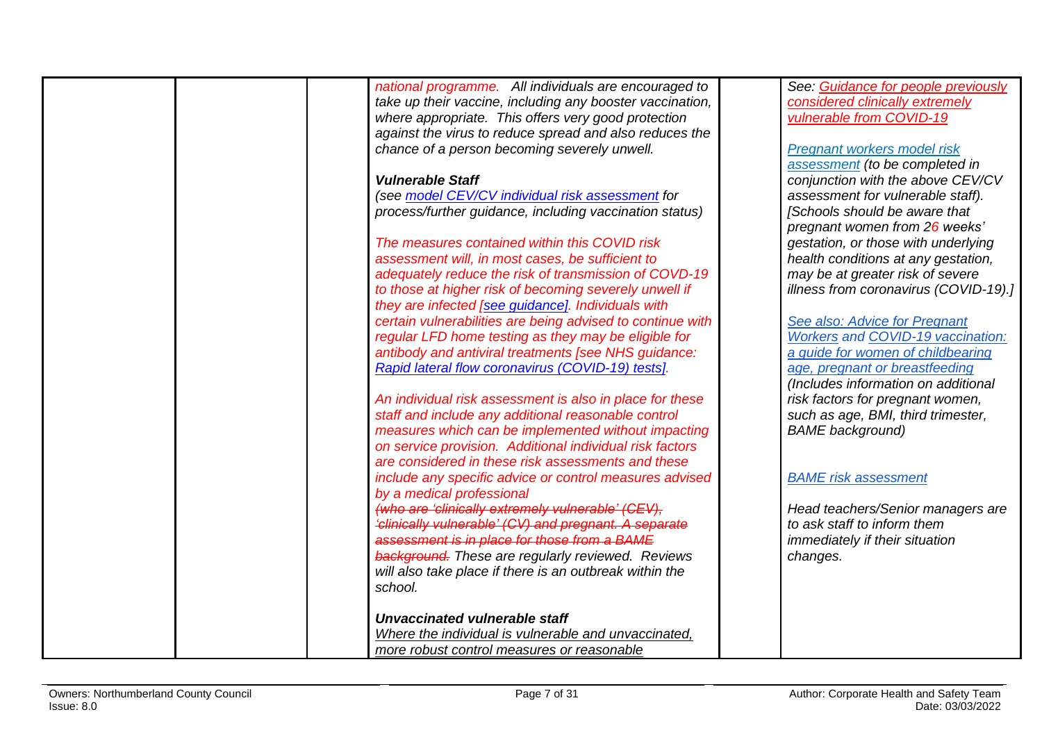| national programme. All individuals are encouraged to      | See: Guidance for people previously      |
|------------------------------------------------------------|------------------------------------------|
| take up their vaccine, including any booster vaccination,  | considered clinically extremely          |
| where appropriate. This offers very good protection        | vulnerable from COVID-19                 |
| against the virus to reduce spread and also reduces the    |                                          |
| chance of a person becoming severely unwell.               | Pregnant workers model risk              |
|                                                            | assessment (to be completed in           |
| <b>Vulnerable Staff</b>                                    | conjunction with the above CEV/CV        |
| (see model CEV/CV individual risk assessment for           | assessment for vulnerable staff).        |
| process/further guidance, including vaccination status)    | [Schools should be aware that            |
|                                                            | pregnant women from 26 weeks'            |
| The measures contained within this COVID risk              | gestation, or those with underlying      |
| assessment will, in most cases, be sufficient to           | health conditions at any gestation,      |
| adequately reduce the risk of transmission of COVD-19      | may be at greater risk of severe         |
| to those at higher risk of becoming severely unwell if     | illness from coronavirus (COVID-19).]    |
| they are infected [see guidance]. Individuals with         |                                          |
| certain vulnerabilities are being advised to continue with | See also: Advice for Pregnant            |
| regular LFD home testing as they may be eligible for       | <b>Workers and COVID-19 vaccination:</b> |
| antibody and antiviral treatments [see NHS guidance:       | a guide for women of childbearing        |
| Rapid lateral flow coronavirus (COVID-19) tests].          | age, pregnant or breastfeeding           |
|                                                            | (Includes information on additional      |
| An individual risk assessment is also in place for these   | risk factors for pregnant women,         |
| staff and include any additional reasonable control        | such as age, BMI, third trimester,       |
| measures which can be implemented without impacting        | <b>BAME</b> background)                  |
| on service provision. Additional individual risk factors   |                                          |
| are considered in these risk assessments and these         |                                          |
| include any specific advice or control measures advised    | <b>BAME</b> risk assessment              |
| by a medical professional                                  |                                          |
| (who are 'clinically extremely vulnerable' (CEV),          | Head teachers/Senior managers are        |
| 'clinically vulnerable' (CV) and pregnant. A separate      | to ask staff to inform them              |
| assessment is in place for those from a BAME               | immediately if their situation           |
| <b>background.</b> These are regularly reviewed. Reviews   | changes.                                 |
| will also take place if there is an outbreak within the    |                                          |
| school.                                                    |                                          |
|                                                            |                                          |
| Unvaccinated vulnerable staff                              |                                          |
|                                                            |                                          |
| Where the individual is vulnerable and unvaccinated,       |                                          |
| more robust control measures or reasonable                 |                                          |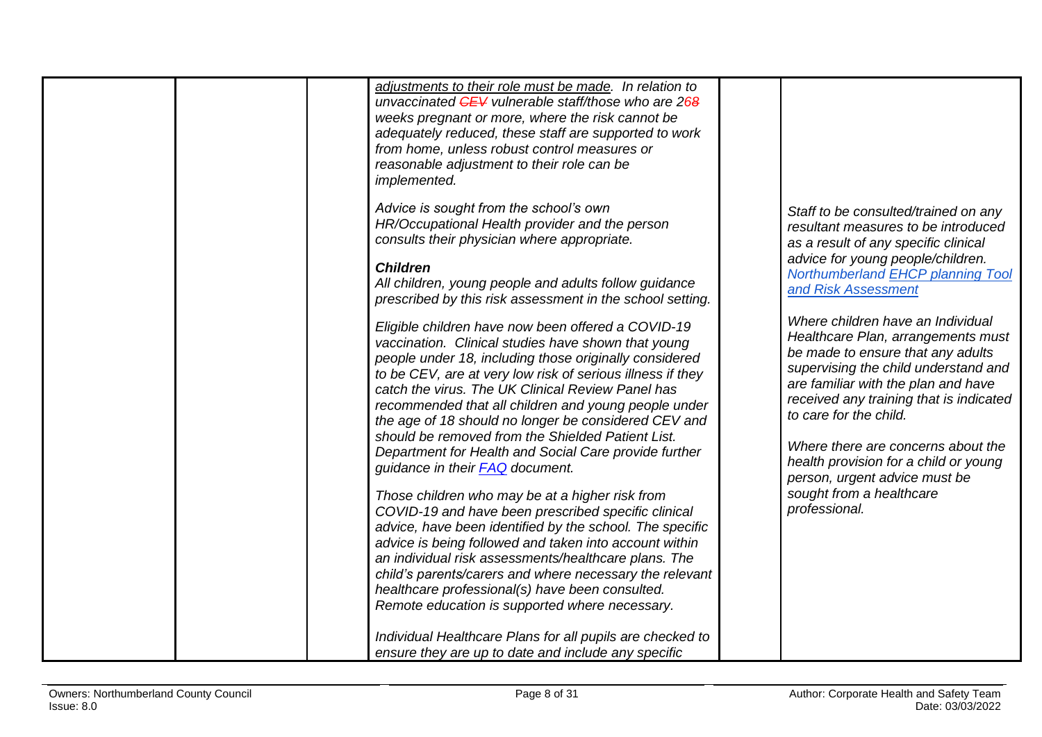| <b>Children</b><br>Northumberland EHCP planning Tool<br>All children, young people and adults follow guidance<br>and Risk Assessment<br>prescribed by this risk assessment in the school setting.<br>Where children have an Individual<br>Eligible children have now been offered a COVID-19<br>Healthcare Plan, arrangements must<br>vaccination. Clinical studies have shown that young<br>be made to ensure that any adults<br>people under 18, including those originally considered<br>supervising the child understand and<br>to be CEV, are at very low risk of serious illness if they<br>are familiar with the plan and have<br>catch the virus. The UK Clinical Review Panel has<br>received any training that is indicated<br>recommended that all children and young people under<br>to care for the child.<br>the age of 18 should no longer be considered CEV and<br>should be removed from the Shielded Patient List.<br>Where there are concerns about the<br>Department for Health and Social Care provide further<br>health provision for a child or young<br>guidance in their <b>FAQ</b> document.<br>person, urgent advice must be<br>sought from a healthcare<br>Those children who may be at a higher risk from<br>professional.<br>COVID-19 and have been prescribed specific clinical<br>advice, have been identified by the school. The specific<br>advice is being followed and taken into account within<br>an individual risk assessments/healthcare plans. The<br>child's parents/carers and where necessary the relevant<br>healthcare professional(s) have been consulted.<br>Remote education is supported where necessary.<br>Individual Healthcare Plans for all pupils are checked to<br>ensure they are up to date and include any specific |
|----------------------------------------------------------------------------------------------------------------------------------------------------------------------------------------------------------------------------------------------------------------------------------------------------------------------------------------------------------------------------------------------------------------------------------------------------------------------------------------------------------------------------------------------------------------------------------------------------------------------------------------------------------------------------------------------------------------------------------------------------------------------------------------------------------------------------------------------------------------------------------------------------------------------------------------------------------------------------------------------------------------------------------------------------------------------------------------------------------------------------------------------------------------------------------------------------------------------------------------------------------------------------------------------------------------------------------------------------------------------------------------------------------------------------------------------------------------------------------------------------------------------------------------------------------------------------------------------------------------------------------------------------------------------------------------------------------------------------------------------------------------------------------|
|----------------------------------------------------------------------------------------------------------------------------------------------------------------------------------------------------------------------------------------------------------------------------------------------------------------------------------------------------------------------------------------------------------------------------------------------------------------------------------------------------------------------------------------------------------------------------------------------------------------------------------------------------------------------------------------------------------------------------------------------------------------------------------------------------------------------------------------------------------------------------------------------------------------------------------------------------------------------------------------------------------------------------------------------------------------------------------------------------------------------------------------------------------------------------------------------------------------------------------------------------------------------------------------------------------------------------------------------------------------------------------------------------------------------------------------------------------------------------------------------------------------------------------------------------------------------------------------------------------------------------------------------------------------------------------------------------------------------------------------------------------------------------------|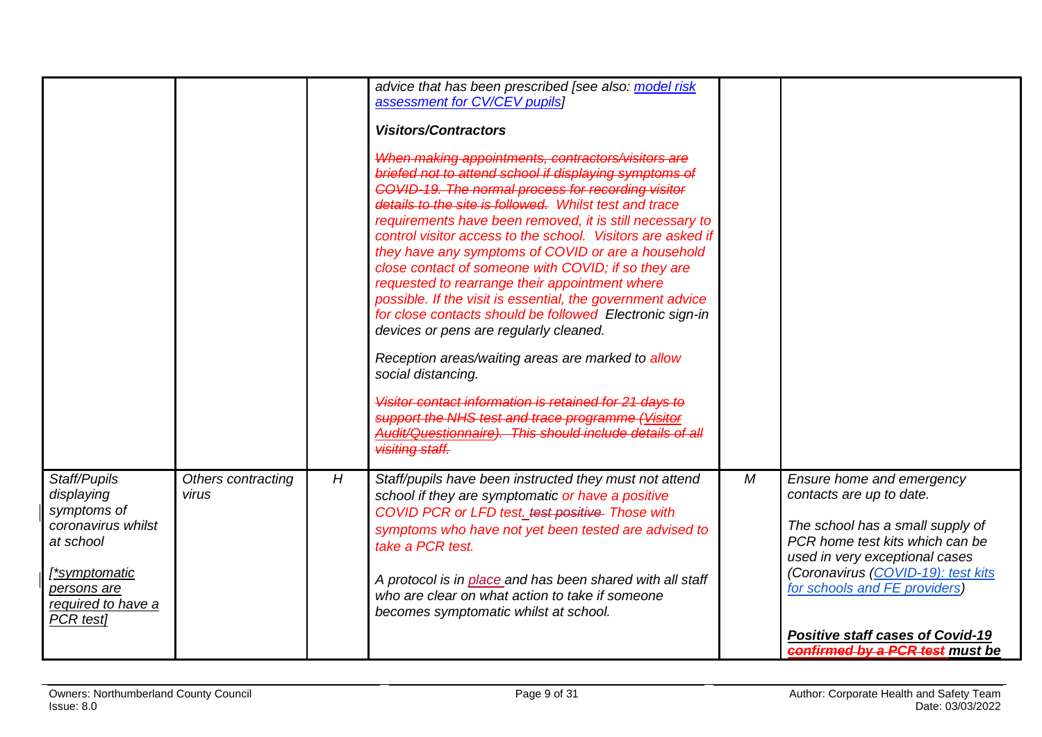<span id="page-8-0"></span>

|                                                                                                                                                 |                             |   | advice that has been prescribed [see also: model risk<br>assessment for CV/CEV pupils]<br><b>Visitors/Contractors</b><br>When making appointments, contractors/visitors are<br>briefed not to attend school if displaying symptoms of<br>COVID-19. The normal process for recording visitor<br>details to the site is followed. Whilst test and trace<br>requirements have been removed, it is still necessary to<br>control visitor access to the school. Visitors are asked if<br>they have any symptoms of COVID or are a household<br>close contact of someone with COVID; if so they are<br>requested to rearrange their appointment where<br>possible. If the visit is essential, the government advice<br>for close contacts should be followed Electronic sign-in<br>devices or pens are regularly cleaned.<br>Reception areas/waiting areas are marked to allow<br>social distancing.<br>Visitor contact information is retained for 21 days to<br>support the NHS test and trace programme (Visitor<br>Audit/Questionnaire). This should include details of all<br>visiting staff. |            |                                                                                                                                                                                                                                                                                                                            |
|-------------------------------------------------------------------------------------------------------------------------------------------------|-----------------------------|---|----------------------------------------------------------------------------------------------------------------------------------------------------------------------------------------------------------------------------------------------------------------------------------------------------------------------------------------------------------------------------------------------------------------------------------------------------------------------------------------------------------------------------------------------------------------------------------------------------------------------------------------------------------------------------------------------------------------------------------------------------------------------------------------------------------------------------------------------------------------------------------------------------------------------------------------------------------------------------------------------------------------------------------------------------------------------------------------------|------------|----------------------------------------------------------------------------------------------------------------------------------------------------------------------------------------------------------------------------------------------------------------------------------------------------------------------------|
| Staff/Pupils<br>displaying<br>symptoms of<br>coronavirus whilst<br>at school<br>f*symptomatic<br>persons are<br>required to have a<br>PCR test] | Others contracting<br>virus | H | Staff/pupils have been instructed they must not attend<br>school if they are symptomatic or have a positive<br>COVID PCR or LFD test. test positive Those with<br>symptoms who have not yet been tested are advised to<br>take a PCR test.<br>A protocol is in place and has been shared with all staff<br>who are clear on what action to take if someone<br>becomes symptomatic whilst at school.                                                                                                                                                                                                                                                                                                                                                                                                                                                                                                                                                                                                                                                                                          | ${\cal M}$ | <b>Ensure home and emergency</b><br>contacts are up to date.<br>The school has a small supply of<br>PCR home test kits which can be<br>used in very exceptional cases<br>(Coronavirus (COVID-19): test kits<br>for schools and FE providers)<br><b>Positive staff cases of Covid-19</b><br>confirmed by a PCR test must be |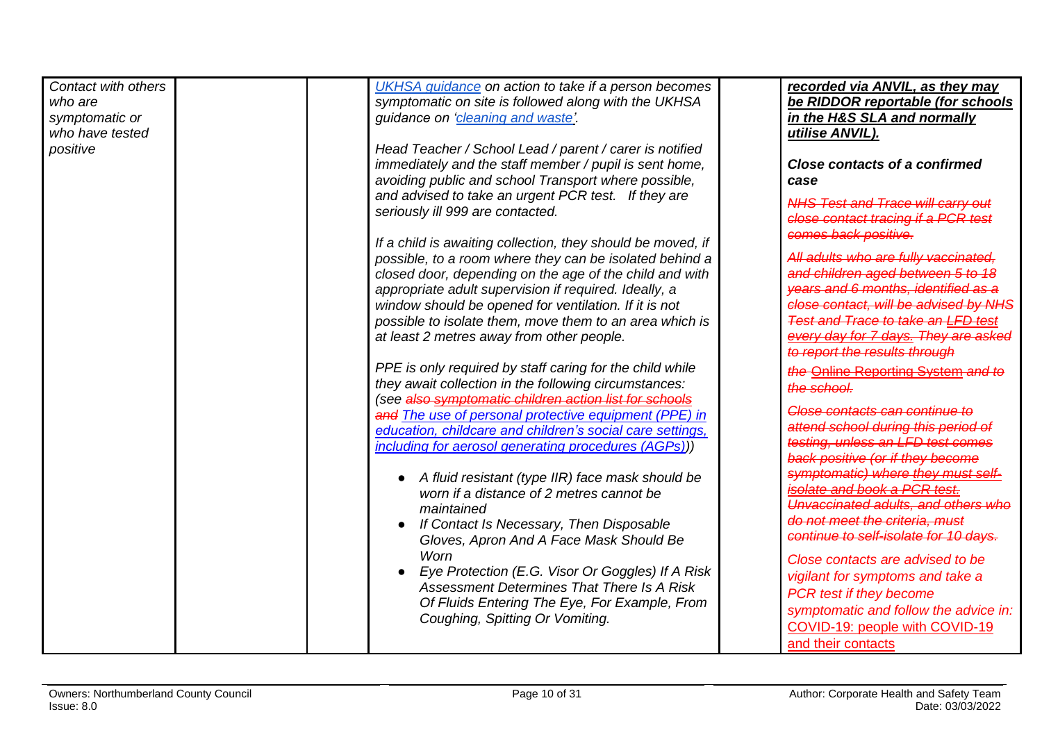| Contact with others | UKHSA guidance on action to take if a person becomes        | recorded via ANVIL, as they may           |
|---------------------|-------------------------------------------------------------|-------------------------------------------|
| who are             | symptomatic on site is followed along with the UKHSA        | be RIDDOR reportable (for schools         |
| symptomatic or      | guidance on 'cleaning and waste'.                           | in the H&S SLA and normally               |
| who have tested     |                                                             | utilise ANVIL).                           |
| positive            | Head Teacher / School Lead / parent / carer is notified     |                                           |
|                     | immediately and the staff member / pupil is sent home,      | <b>Close contacts of a confirmed</b>      |
|                     | avoiding public and school Transport where possible,        | case                                      |
|                     |                                                             |                                           |
|                     | and advised to take an urgent PCR test. If they are         | <b>NHS Test and Trace will carry out</b>  |
|                     | seriously ill 999 are contacted.                            | close contact tracing if a PCR test       |
|                     |                                                             | comes back positive.                      |
|                     | If a child is awaiting collection, they should be moved, if |                                           |
|                     | possible, to a room where they can be isolated behind a     | All adults who are fully vaccinated,      |
|                     | closed door, depending on the age of the child and with     | and children aged between 5 to 18         |
|                     | appropriate adult supervision if required. Ideally, a       | years and 6 months, identified as a       |
|                     | window should be opened for ventilation. If it is not       | close contact, will be advised by NHS     |
|                     | possible to isolate them, move them to an area which is     | <b>Test and Trace to take an LFD test</b> |
|                     | at least 2 metres away from other people.                   | every day for 7 days. They are asked      |
|                     |                                                             | to report the results through             |
|                     | PPE is only required by staff caring for the child while    | the Online Reporting System and to        |
|                     | they await collection in the following circumstances:       |                                           |
|                     | (see also symptomatic children action list for schools      | the school.                               |
|                     | and The use of personal protective equipment (PPE) in       | Close contacts can continue to            |
|                     | education, childcare and children's social care settings,   | attend school during this period of       |
|                     | including for aerosol generating procedures (AGPs)))        | testing, unless an LFD test comes         |
|                     |                                                             | back positive (or if they become          |
|                     |                                                             | symptomatic) where they must self-        |
|                     | A fluid resistant (type IIR) face mask should be            | isolate and book a PCR test.              |
|                     | worn if a distance of 2 metres cannot be                    | Unvaccinated adults, and others who       |
|                     | maintained                                                  | do not meet the criteria. must            |
|                     | If Contact Is Necessary, Then Disposable                    | continue to self-isolate for 10 days.     |
|                     | Gloves, Apron And A Face Mask Should Be                     |                                           |
|                     | Worn                                                        | Close contacts are advised to be          |
|                     | Eye Protection (E.G. Visor Or Goggles) If A Risk            | vigilant for symptoms and take a          |
|                     | Assessment Determines That There Is A Risk                  | PCR test if they become                   |
|                     | Of Fluids Entering The Eye, For Example, From               | symptomatic and follow the advice in:     |
|                     | Coughing, Spitting Or Vomiting.                             |                                           |
|                     |                                                             | COVID-19: people with COVID-19            |
|                     |                                                             | and their contacts                        |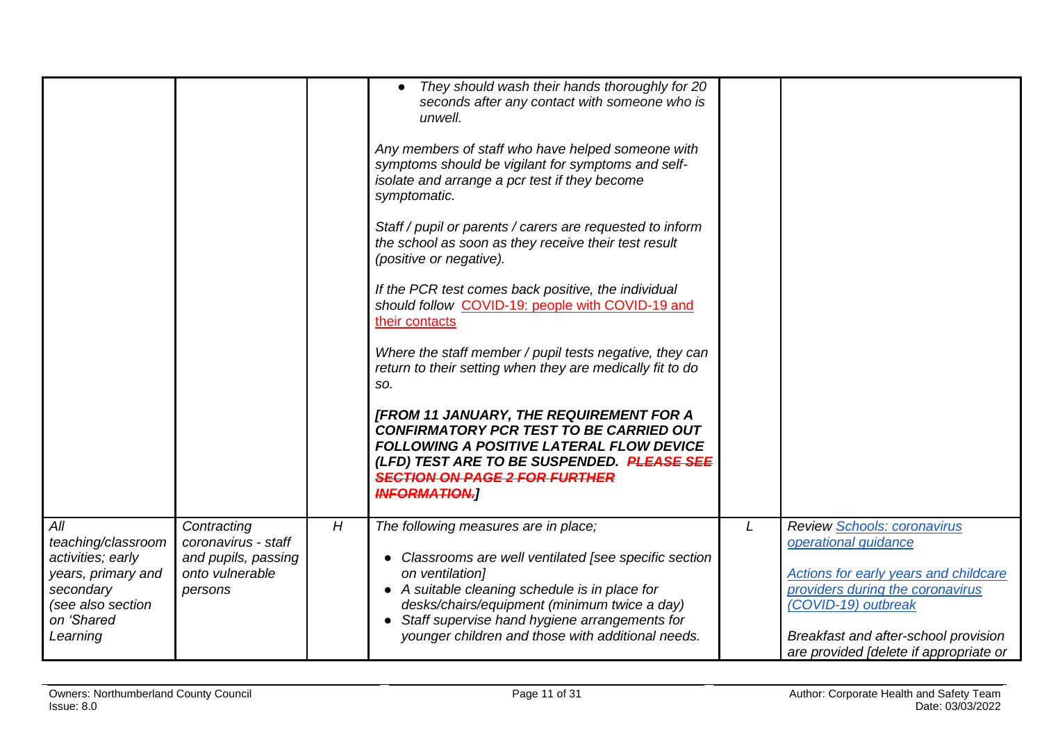<span id="page-10-0"></span>

|                                                                                                                                  |                                                                                         |   | They should wash their hands thoroughly for 20<br>seconds after any contact with someone who is<br>unwell.<br>Any members of staff who have helped someone with<br>symptoms should be vigilant for symptoms and self-<br>isolate and arrange a pcr test if they become<br>symptomatic.<br>Staff / pupil or parents / carers are requested to inform<br>the school as soon as they receive their test result<br>(positive or negative).<br>If the PCR test comes back positive, the individual<br>should follow COVID-19: people with COVID-19 and<br>their contacts<br>Where the staff member / pupil tests negative, they can<br>return to their setting when they are medically fit to do<br>SO.<br>[FROM 11 JANUARY, THE REQUIREMENT FOR A<br><b>CONFIRMATORY PCR TEST TO BE CARRIED OUT</b><br><b>FOLLOWING A POSITIVE LATERAL FLOW DEVICE</b><br>(LFD) TEST ARE TO BE SUSPENDED. PLEASE SEE<br><b>SECTION ON PAGE 2 FOR FURTHER</b><br><b>INFORMATION.</b> |   |                                                                                                                                                                                                                                           |
|----------------------------------------------------------------------------------------------------------------------------------|-----------------------------------------------------------------------------------------|---|-----------------------------------------------------------------------------------------------------------------------------------------------------------------------------------------------------------------------------------------------------------------------------------------------------------------------------------------------------------------------------------------------------------------------------------------------------------------------------------------------------------------------------------------------------------------------------------------------------------------------------------------------------------------------------------------------------------------------------------------------------------------------------------------------------------------------------------------------------------------------------------------------------------------------------------------------------------------|---|-------------------------------------------------------------------------------------------------------------------------------------------------------------------------------------------------------------------------------------------|
| All<br>teaching/classroom<br>activities; early<br>years, primary and<br>secondary<br>(see also section<br>on 'Shared<br>Learning | Contracting<br>coronavirus - staff<br>and pupils, passing<br>onto vulnerable<br>persons | H | The following measures are in place;<br>• Classrooms are well ventilated [see specific section<br>on ventilation]<br>• A suitable cleaning schedule is in place for<br>desks/chairs/equipment (minimum twice a day)<br>• Staff supervise hand hygiene arrangements for<br>younger children and those with additional needs.                                                                                                                                                                                                                                                                                                                                                                                                                                                                                                                                                                                                                                     | L | Review Schools: coronavirus<br>operational guidance<br>Actions for early years and childcare<br>providers during the coronavirus<br>(COVID-19) outbreak<br>Breakfast and after-school provision<br>are provided [delete if appropriate or |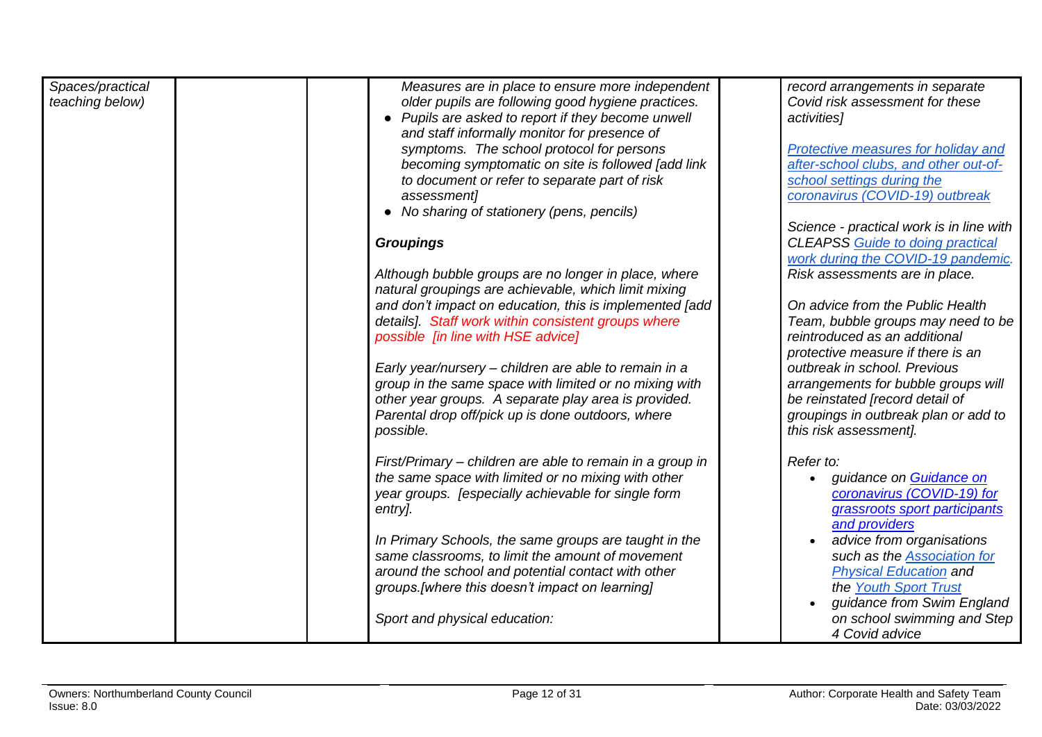| Spaces/practical<br>teaching below) | Measures are in place to ensure more independent<br>older pupils are following good hygiene practices.<br>• Pupils are asked to report if they become unwell<br>and staff informally monitor for presence of<br>symptoms. The school protocol for persons<br>becoming symptomatic on site is followed [add link<br>to document or refer to separate part of risk<br>assessment]<br>• No sharing of stationery (pens, pencils)<br><b>Groupings</b><br>Although bubble groups are no longer in place, where<br>natural groupings are achievable, which limit mixing<br>and don't impact on education, this is implemented [add<br>details]. Staff work within consistent groups where<br>possible [in line with HSE advice]<br>Early year/nursery - children are able to remain in a<br>group in the same space with limited or no mixing with<br>other year groups. A separate play area is provided.<br>Parental drop off/pick up is done outdoors, where<br>possible. | record arrangements in separate<br>Covid risk assessment for these<br>activities]<br>Protective measures for holiday and<br>after-school clubs, and other out-of-<br>school settings during the<br>coronavirus (COVID-19) outbreak<br>Science - practical work is in line with<br><b>CLEAPSS Guide to doing practical</b><br>work during the COVID-19 pandemic.<br>Risk assessments are in place.<br>On advice from the Public Health<br>Team, bubble groups may need to be<br>reintroduced as an additional<br>protective measure if there is an<br>outbreak in school. Previous<br>arrangements for bubble groups will<br>be reinstated [record detail of<br>groupings in outbreak plan or add to<br>this risk assessment]. |
|-------------------------------------|------------------------------------------------------------------------------------------------------------------------------------------------------------------------------------------------------------------------------------------------------------------------------------------------------------------------------------------------------------------------------------------------------------------------------------------------------------------------------------------------------------------------------------------------------------------------------------------------------------------------------------------------------------------------------------------------------------------------------------------------------------------------------------------------------------------------------------------------------------------------------------------------------------------------------------------------------------------------|-------------------------------------------------------------------------------------------------------------------------------------------------------------------------------------------------------------------------------------------------------------------------------------------------------------------------------------------------------------------------------------------------------------------------------------------------------------------------------------------------------------------------------------------------------------------------------------------------------------------------------------------------------------------------------------------------------------------------------|
|                                     | First/Primary – children are able to remain in a group in<br>the same space with limited or no mixing with other<br>year groups. [especially achievable for single form<br>entry].<br>In Primary Schools, the same groups are taught in the<br>same classrooms, to limit the amount of movement<br>around the school and potential contact with other<br>groups. [where this doesn't impact on learning]<br>Sport and physical education:                                                                                                                                                                                                                                                                                                                                                                                                                                                                                                                              | Refer to:<br>guidance on Guidance on<br>coronavirus (COVID-19) for<br>grassroots sport participants<br>and providers<br>advice from organisations<br>such as the <b>Association</b> for<br><b>Physical Education and</b><br>the Youth Sport Trust<br>guidance from Swim England<br>on school swimming and Step                                                                                                                                                                                                                                                                                                                                                                                                                |
|                                     |                                                                                                                                                                                                                                                                                                                                                                                                                                                                                                                                                                                                                                                                                                                                                                                                                                                                                                                                                                        | 4 Covid advice                                                                                                                                                                                                                                                                                                                                                                                                                                                                                                                                                                                                                                                                                                                |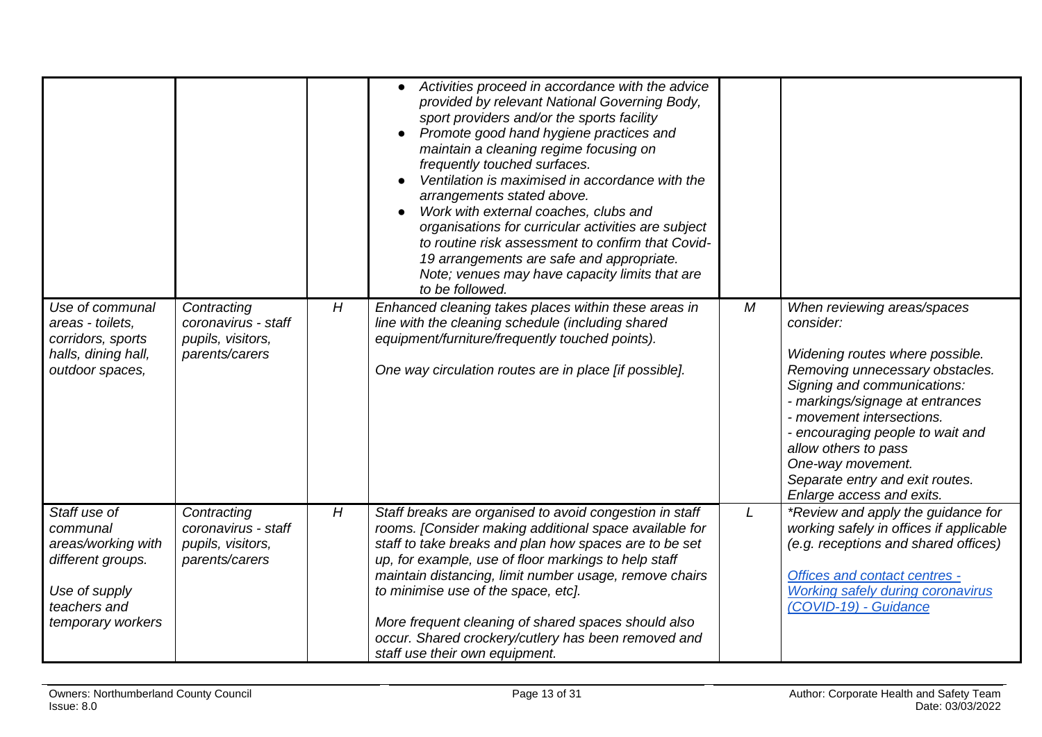|                                                                                                                           |                                                                           |   | Activities proceed in accordance with the advice<br>provided by relevant National Governing Body,<br>sport providers and/or the sports facility<br>Promote good hand hygiene practices and<br>maintain a cleaning regime focusing on<br>frequently touched surfaces.<br>Ventilation is maximised in accordance with the<br>arrangements stated above.<br>Work with external coaches, clubs and<br>organisations for curricular activities are subject<br>to routine risk assessment to confirm that Covid-<br>19 arrangements are safe and appropriate.<br>Note; venues may have capacity limits that are<br>to be followed. |   |                                                                                                                                                                                                                                                                                                                                                                |
|---------------------------------------------------------------------------------------------------------------------------|---------------------------------------------------------------------------|---|------------------------------------------------------------------------------------------------------------------------------------------------------------------------------------------------------------------------------------------------------------------------------------------------------------------------------------------------------------------------------------------------------------------------------------------------------------------------------------------------------------------------------------------------------------------------------------------------------------------------------|---|----------------------------------------------------------------------------------------------------------------------------------------------------------------------------------------------------------------------------------------------------------------------------------------------------------------------------------------------------------------|
| Use of communal<br>areas - toilets,<br>corridors, sports<br>halls, dining hall,<br>outdoor spaces,                        | Contracting<br>coronavirus - staff<br>pupils, visitors,<br>parents/carers | H | Enhanced cleaning takes places within these areas in<br>line with the cleaning schedule (including shared<br>equipment/furniture/frequently touched points).<br>One way circulation routes are in place [if possible].                                                                                                                                                                                                                                                                                                                                                                                                       | M | When reviewing areas/spaces<br>consider:<br>Widening routes where possible.<br>Removing unnecessary obstacles.<br>Signing and communications:<br>- markings/signage at entrances<br>- movement intersections.<br>- encouraging people to wait and<br>allow others to pass<br>One-way movement.<br>Separate entry and exit routes.<br>Enlarge access and exits. |
| Staff use of<br>communal<br>areas/working with<br>different groups.<br>Use of supply<br>teachers and<br>temporary workers | Contracting<br>coronavirus - staff<br>pupils, visitors,<br>parents/carers | H | Staff breaks are organised to avoid congestion in staff<br>rooms. [Consider making additional space available for<br>staff to take breaks and plan how spaces are to be set<br>up, for example, use of floor markings to help staff<br>maintain distancing, limit number usage, remove chairs<br>to minimise use of the space, etc].<br>More frequent cleaning of shared spaces should also<br>occur. Shared crockery/cutlery has been removed and<br>staff use their own equipment.                                                                                                                                         | L | *Review and apply the guidance for<br>working safely in offices if applicable<br>(e.g. receptions and shared offices)<br>Offices and contact centres -<br><b>Working safely during coronavirus</b><br>(COVID-19) - Guidance                                                                                                                                    |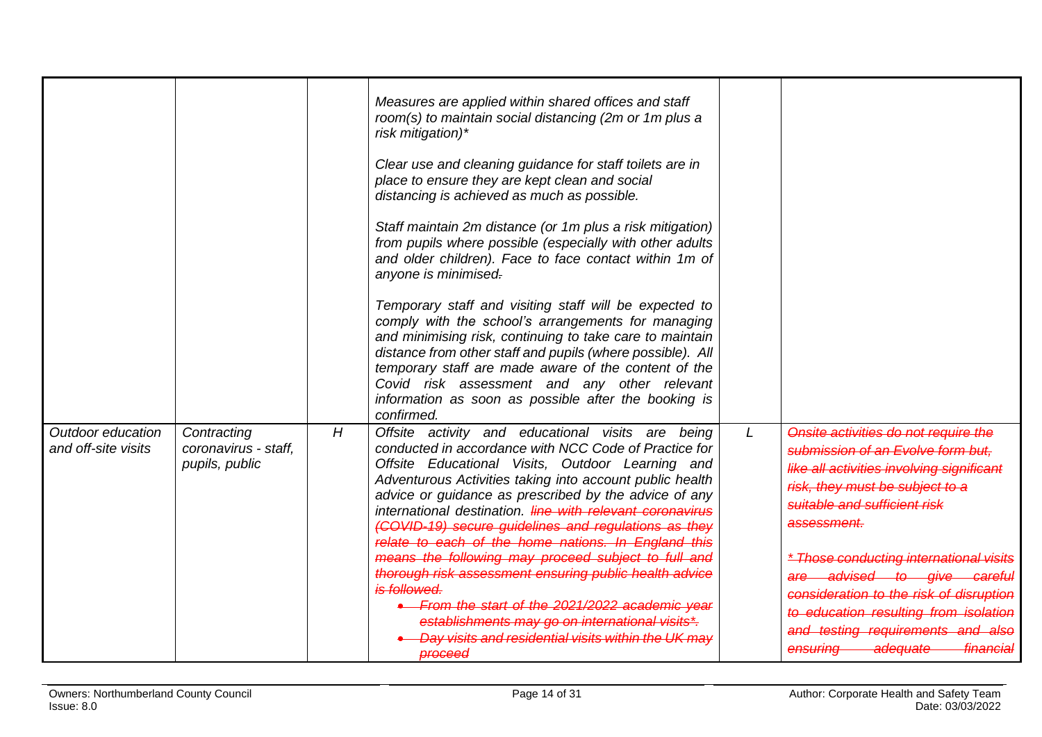<span id="page-13-0"></span>

|                                          |                                                       |   | Measures are applied within shared offices and staff<br>room(s) to maintain social distancing (2m or 1m plus a<br>risk mitigation)*<br>Clear use and cleaning guidance for staff toilets are in<br>place to ensure they are kept clean and social<br>distancing is achieved as much as possible.<br>Staff maintain 2m distance (or 1m plus a risk mitigation)<br>from pupils where possible (especially with other adults<br>and older children). Face to face contact within 1m of<br>anyone is minimised.<br>Temporary staff and visiting staff will be expected to<br>comply with the school's arrangements for managing<br>and minimising risk, continuing to take care to maintain<br>distance from other staff and pupils (where possible). All<br>temporary staff are made aware of the content of the<br>Covid risk assessment and any other relevant<br>information as soon as possible after the booking is<br>confirmed. |   |                                                                                                                                                                                                                                                                                                                                                                                                                                                                          |
|------------------------------------------|-------------------------------------------------------|---|-------------------------------------------------------------------------------------------------------------------------------------------------------------------------------------------------------------------------------------------------------------------------------------------------------------------------------------------------------------------------------------------------------------------------------------------------------------------------------------------------------------------------------------------------------------------------------------------------------------------------------------------------------------------------------------------------------------------------------------------------------------------------------------------------------------------------------------------------------------------------------------------------------------------------------------|---|--------------------------------------------------------------------------------------------------------------------------------------------------------------------------------------------------------------------------------------------------------------------------------------------------------------------------------------------------------------------------------------------------------------------------------------------------------------------------|
| Outdoor education<br>and off-site visits | Contracting<br>coronavirus - staff,<br>pupils, public | H | Offsite activity and educational visits are being<br>conducted in accordance with NCC Code of Practice for<br>Offsite Educational Visits, Outdoor Learning and<br>Adventurous Activities taking into account public health<br>advice or guidance as prescribed by the advice of any<br>international destination. Hine with relevant coronavirus<br>(COVID-19) secure quidelines and regulations as they<br>relate to each of the home nations. In England this<br>means the following may proceed subject to full and<br>thorough risk assessment ensuring public health advice<br>is followed.<br>• From the start of the 2021/2022 academic year<br>establishments may go on international visits*.<br>Day visits and residential visits within the UK may<br><b>proceed</b>                                                                                                                                                     | L | Onsite activities do not require the<br>submission of an Evolve form but.<br>like all activities involving significant<br>risk, they must be subject to a<br>suitable and sufficient risk<br>assessment.<br><i><b>* Those conducting international visits</b></i><br>are advised to give careful<br>consideration to the risk of disruption<br>to education resulting from isolation<br>and testing requirements and also<br>ensuring adequate<br><del>- financial</del> |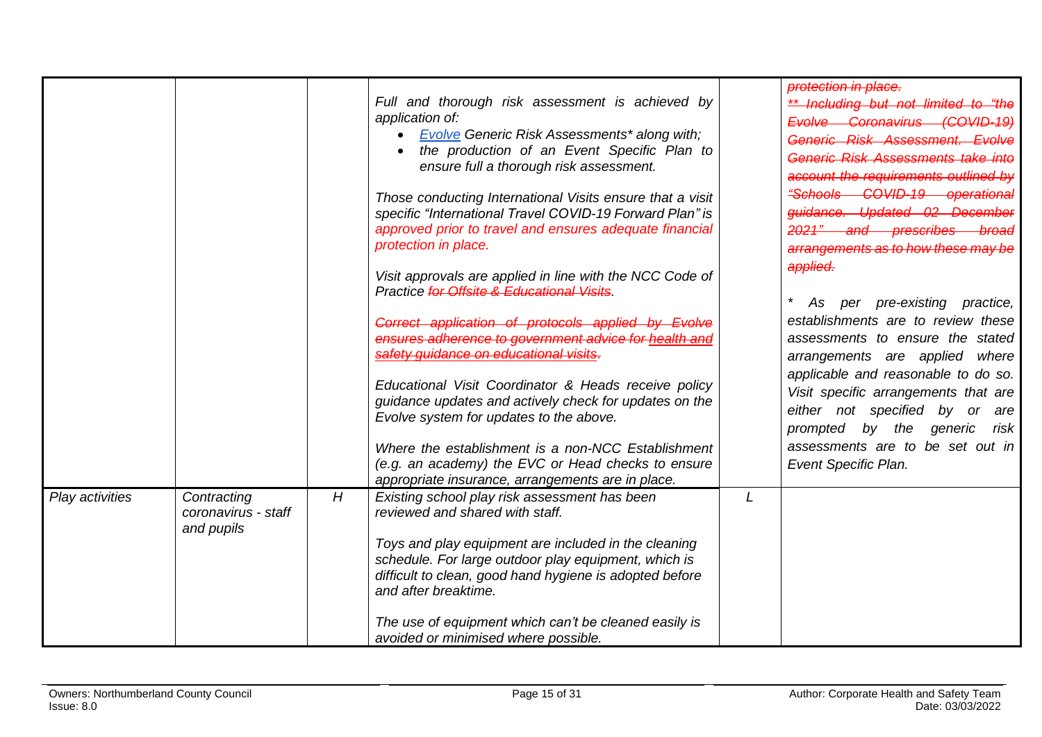|                 |                                                  |   | Full and thorough risk assessment is achieved by<br>application of:<br><b>Evolve Generic Risk Assessments* along with;</b><br>$\bullet$<br>the production of an Event Specific Plan to<br>$\bullet$<br>ensure full a thorough risk assessment.<br>Those conducting International Visits ensure that a visit<br>specific "International Travel COVID-19 Forward Plan" is<br>approved prior to travel and ensures adequate financial<br>protection in place.<br>Visit approvals are applied in line with the NCC Code of<br>Practice for Offsite & Educational Visits.<br>Correct application of protocols applied by Evolve<br>ensures adherence to government advice for health and<br>safety guidance on educational visits.<br>Educational Visit Coordinator & Heads receive policy<br>guidance updates and actively check for updates on the<br>Evolve system for updates to the above.<br>Where the establishment is a non-NCC Establishment<br>(e.g. an academy) the EVC or Head checks to ensure<br>appropriate insurance, arrangements are in place. |   | protection in place.<br>** Including but not limited to "the<br>Evolve Coronavirus (COVID-19)<br>Generic Risk Assessment. Evolve<br>Generic Risk Assessments take into<br>account the requirements outlined by<br>"Schools COVID-19 operational<br>guidance. Updated 02 December<br>2021" and prescribes broad<br>arrangements as to how these may be<br>applied.<br>per pre-existing practice,<br>As<br>establishments are to review these<br>assessments to ensure the stated<br>arrangements are applied where<br>applicable and reasonable to do so.<br>Visit specific arrangements that are<br>either not specified by or are<br>prompted by the generic risk<br>assessments are to be set out in<br>Event Specific Plan. |
|-----------------|--------------------------------------------------|---|-------------------------------------------------------------------------------------------------------------------------------------------------------------------------------------------------------------------------------------------------------------------------------------------------------------------------------------------------------------------------------------------------------------------------------------------------------------------------------------------------------------------------------------------------------------------------------------------------------------------------------------------------------------------------------------------------------------------------------------------------------------------------------------------------------------------------------------------------------------------------------------------------------------------------------------------------------------------------------------------------------------------------------------------------------------|---|--------------------------------------------------------------------------------------------------------------------------------------------------------------------------------------------------------------------------------------------------------------------------------------------------------------------------------------------------------------------------------------------------------------------------------------------------------------------------------------------------------------------------------------------------------------------------------------------------------------------------------------------------------------------------------------------------------------------------------|
| Play activities | Contracting<br>coronavirus - staff<br>and pupils | H | Existing school play risk assessment has been<br>reviewed and shared with staff.<br>Toys and play equipment are included in the cleaning<br>schedule. For large outdoor play equipment, which is<br>difficult to clean, good hand hygiene is adopted before<br>and after breaktime.<br>The use of equipment which can't be cleaned easily is<br>avoided or minimised where possible.                                                                                                                                                                                                                                                                                                                                                                                                                                                                                                                                                                                                                                                                        | L |                                                                                                                                                                                                                                                                                                                                                                                                                                                                                                                                                                                                                                                                                                                                |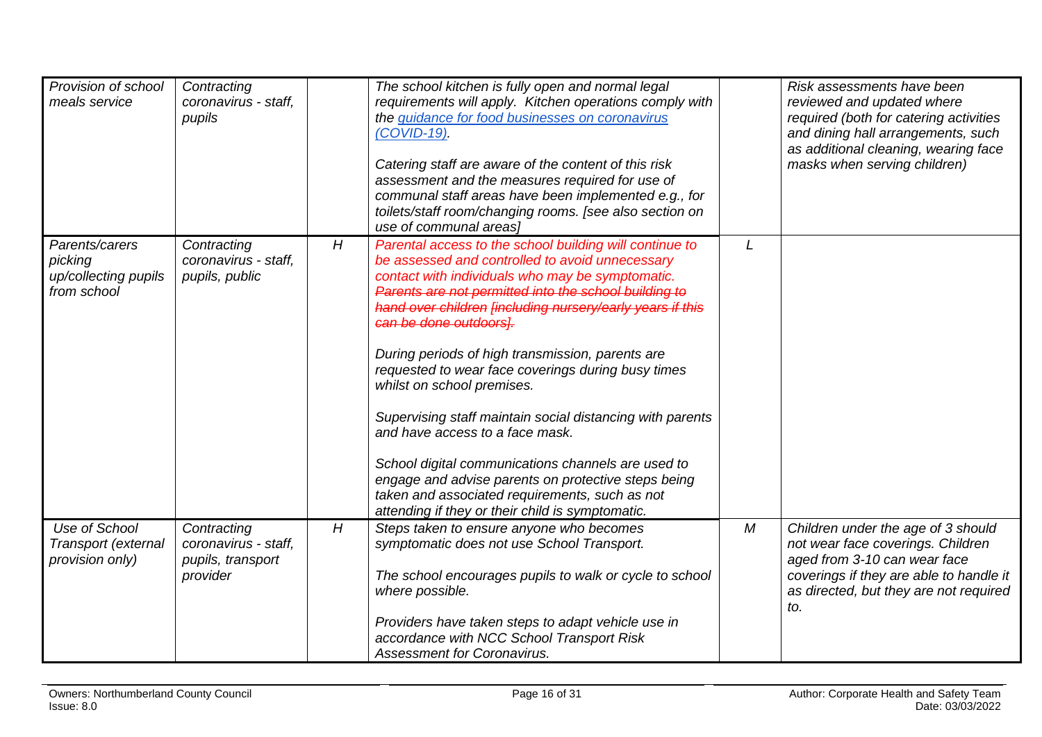<span id="page-15-0"></span>

| Provision of school<br>meals service                             | Contracting<br>coronavirus - staff,<br>pupils                        |   | The school kitchen is fully open and normal legal<br>requirements will apply. Kitchen operations comply with<br>the guidance for food businesses on coronavirus<br>$(COVID-19)$ .<br>Catering staff are aware of the content of this risk<br>assessment and the measures required for use of<br>communal staff areas have been implemented e.g., for<br>toilets/staff room/changing rooms. [see also section on<br>use of communal areasl                                                                                                                                                                                                                                                                                                                                 |            | Risk assessments have been<br>reviewed and updated where<br>required (both for catering activities<br>and dining hall arrangements, such<br>as additional cleaning, wearing face<br>masks when serving children) |
|------------------------------------------------------------------|----------------------------------------------------------------------|---|---------------------------------------------------------------------------------------------------------------------------------------------------------------------------------------------------------------------------------------------------------------------------------------------------------------------------------------------------------------------------------------------------------------------------------------------------------------------------------------------------------------------------------------------------------------------------------------------------------------------------------------------------------------------------------------------------------------------------------------------------------------------------|------------|------------------------------------------------------------------------------------------------------------------------------------------------------------------------------------------------------------------|
| Parents/carers<br>picking<br>up/collecting pupils<br>from school | Contracting<br>coronavirus - staff,<br>pupils, public                | H | Parental access to the school building will continue to<br>be assessed and controlled to avoid unnecessary<br>contact with individuals who may be symptomatic.<br>Parents are not permitted into the school building to<br>hand over children [including nursery/early years if this<br>can be done outdoors).<br>During periods of high transmission, parents are<br>requested to wear face coverings during busy times<br>whilst on school premises.<br>Supervising staff maintain social distancing with parents<br>and have access to a face mask.<br>School digital communications channels are used to<br>engage and advise parents on protective steps being<br>taken and associated requirements, such as not<br>attending if they or their child is symptomatic. | L          |                                                                                                                                                                                                                  |
| Use of School<br>Transport (external<br>provision only)          | Contracting<br>coronavirus - staff,<br>pupils, transport<br>provider | H | Steps taken to ensure anyone who becomes<br>symptomatic does not use School Transport.<br>The school encourages pupils to walk or cycle to school<br>where possible.<br>Providers have taken steps to adapt vehicle use in<br>accordance with NCC School Transport Risk<br><b>Assessment for Coronavirus.</b>                                                                                                                                                                                                                                                                                                                                                                                                                                                             | ${\cal M}$ | Children under the age of 3 should<br>not wear face coverings. Children<br>aged from 3-10 can wear face<br>coverings if they are able to handle it<br>as directed, but they are not required<br>to.              |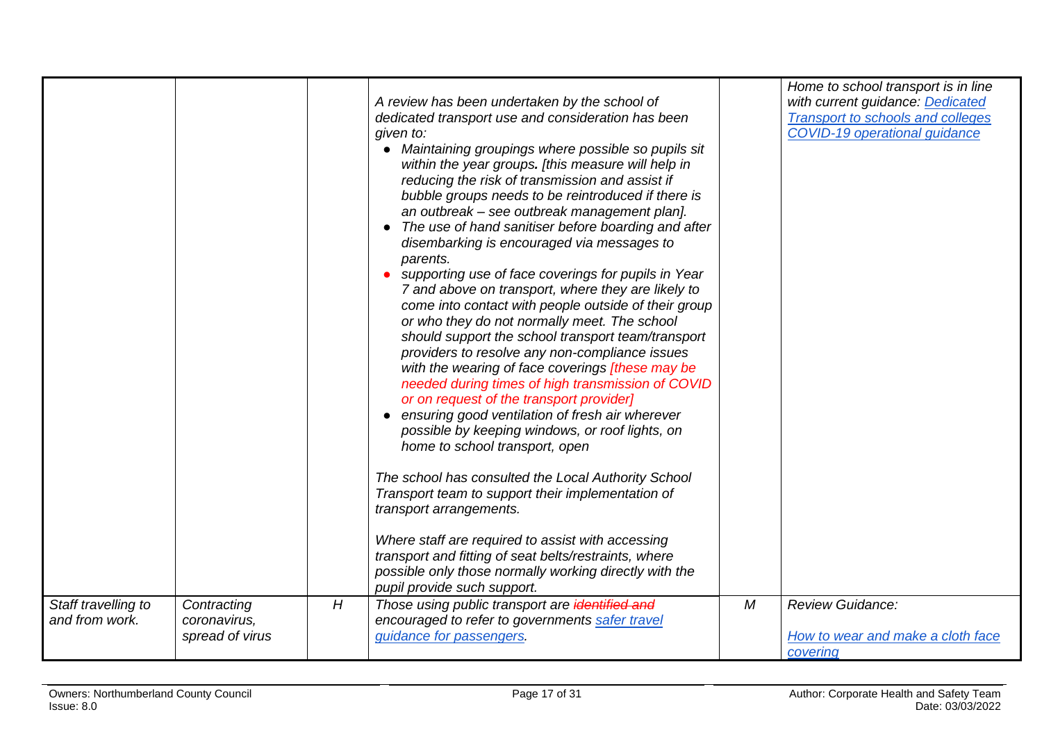| Staff travelling to | Contracting                     | H | A review has been undertaken by the school of<br>dedicated transport use and consideration has been<br>given to:<br>• Maintaining groupings where possible so pupils sit<br>within the year groups. [this measure will help in<br>reducing the risk of transmission and assist if<br>bubble groups needs to be reintroduced if there is<br>an outbreak - see outbreak management plan].<br>The use of hand sanitiser before boarding and after<br>$\bullet$<br>disembarking is encouraged via messages to<br>parents.<br>• supporting use of face coverings for pupils in Year<br>7 and above on transport, where they are likely to<br>come into contact with people outside of their group<br>or who they do not normally meet. The school<br>should support the school transport team/transport<br>providers to resolve any non-compliance issues<br>with the wearing of face coverings [these may be<br>needed during times of high transmission of COVID<br>or on request of the transport provider]<br>• ensuring good ventilation of fresh air wherever<br>possible by keeping windows, or roof lights, on<br>home to school transport, open<br>The school has consulted the Local Authority School<br>Transport team to support their implementation of<br>transport arrangements.<br>Where staff are required to assist with accessing<br>transport and fitting of seat belts/restraints, where<br>possible only those normally working directly with the<br>pupil provide such support.<br>Those using public transport are identified and | M | Home to school transport is in line<br>with current guidance: Dedicated<br><b>Transport to schools and colleges</b><br>COVID-19 operational guidance<br><b>Review Guidance:</b> |
|---------------------|---------------------------------|---|------------------------------------------------------------------------------------------------------------------------------------------------------------------------------------------------------------------------------------------------------------------------------------------------------------------------------------------------------------------------------------------------------------------------------------------------------------------------------------------------------------------------------------------------------------------------------------------------------------------------------------------------------------------------------------------------------------------------------------------------------------------------------------------------------------------------------------------------------------------------------------------------------------------------------------------------------------------------------------------------------------------------------------------------------------------------------------------------------------------------------------------------------------------------------------------------------------------------------------------------------------------------------------------------------------------------------------------------------------------------------------------------------------------------------------------------------------------------------------------------------------------------------------------------------|---|---------------------------------------------------------------------------------------------------------------------------------------------------------------------------------|
| and from work.      | coronavirus,<br>spread of virus |   | encouraged to refer to governments safer travel<br>quidance for passengers.                                                                                                                                                                                                                                                                                                                                                                                                                                                                                                                                                                                                                                                                                                                                                                                                                                                                                                                                                                                                                                                                                                                                                                                                                                                                                                                                                                                                                                                                          |   | How to wear and make a cloth face<br>covering                                                                                                                                   |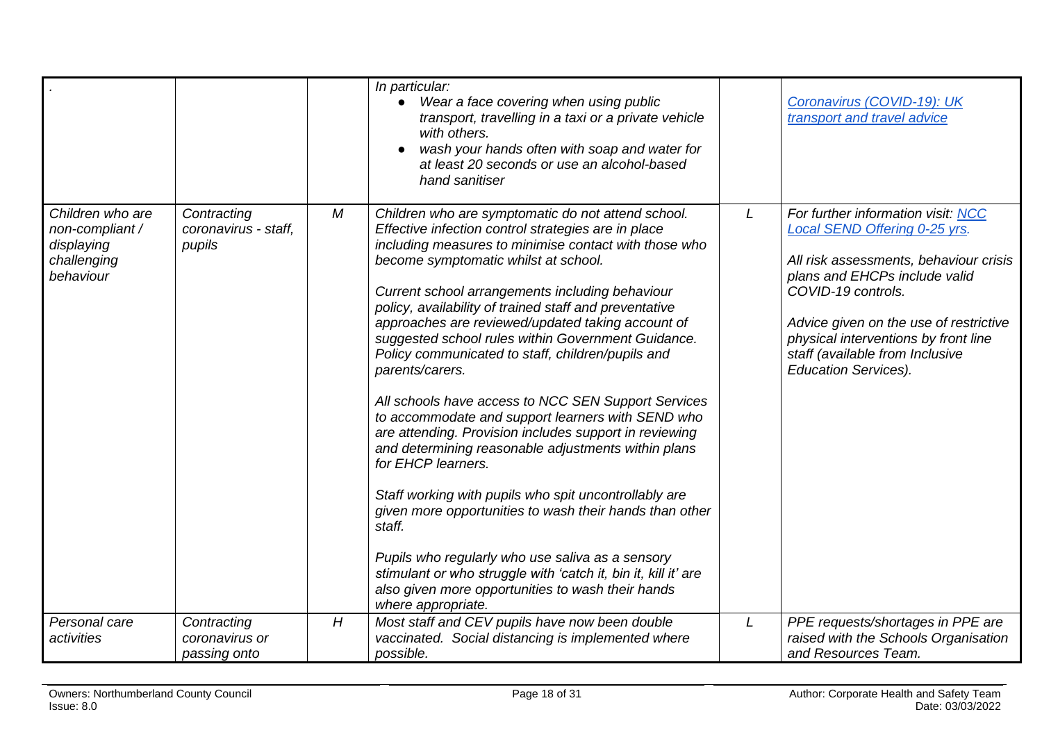|                                                                               |                                               |                  | In particular:<br>Wear a face covering when using public<br>$\bullet$<br>transport, travelling in a taxi or a private vehicle<br>with others.<br>wash your hands often with soap and water for<br>at least 20 seconds or use an alcohol-based<br>hand sanitiser                                                                                                                                                                                                                                                                                                                                                                                                                                                                                                                                                                                                                                                                                                                                                                                                                              |   | Coronavirus (COVID-19): UK<br>transport and travel advice                                                                                                                                                                                                                                                                |
|-------------------------------------------------------------------------------|-----------------------------------------------|------------------|----------------------------------------------------------------------------------------------------------------------------------------------------------------------------------------------------------------------------------------------------------------------------------------------------------------------------------------------------------------------------------------------------------------------------------------------------------------------------------------------------------------------------------------------------------------------------------------------------------------------------------------------------------------------------------------------------------------------------------------------------------------------------------------------------------------------------------------------------------------------------------------------------------------------------------------------------------------------------------------------------------------------------------------------------------------------------------------------|---|--------------------------------------------------------------------------------------------------------------------------------------------------------------------------------------------------------------------------------------------------------------------------------------------------------------------------|
| Children who are<br>non-compliant /<br>displaying<br>challenging<br>behaviour | Contracting<br>coronavirus - staff,<br>pupils | $\boldsymbol{M}$ | Children who are symptomatic do not attend school.<br>Effective infection control strategies are in place<br>including measures to minimise contact with those who<br>become symptomatic whilst at school.<br>Current school arrangements including behaviour<br>policy, availability of trained staff and preventative<br>approaches are reviewed/updated taking account of<br>suggested school rules within Government Guidance.<br>Policy communicated to staff, children/pupils and<br>parents/carers.<br>All schools have access to NCC SEN Support Services<br>to accommodate and support learners with SEND who<br>are attending. Provision includes support in reviewing<br>and determining reasonable adjustments within plans<br>for EHCP learners.<br>Staff working with pupils who spit uncontrollably are<br>given more opportunities to wash their hands than other<br>staff.<br>Pupils who regularly who use saliva as a sensory<br>stimulant or who struggle with 'catch it, bin it, kill it' are<br>also given more opportunities to wash their hands<br>where appropriate. | L | For further information visit: NCC<br>Local SEND Offering 0-25 yrs.<br>All risk assessments, behaviour crisis<br>plans and EHCPs include valid<br>COVID-19 controls.<br>Advice given on the use of restrictive<br>physical interventions by front line<br>staff (available from Inclusive<br><b>Education Services).</b> |
| Personal care<br>activities                                                   | Contracting<br>coronavirus or<br>passing onto | H                | Most staff and CEV pupils have now been double<br>vaccinated. Social distancing is implemented where<br>possible.                                                                                                                                                                                                                                                                                                                                                                                                                                                                                                                                                                                                                                                                                                                                                                                                                                                                                                                                                                            | L | PPE requests/shortages in PPE are<br>raised with the Schools Organisation<br>and Resources Team.                                                                                                                                                                                                                         |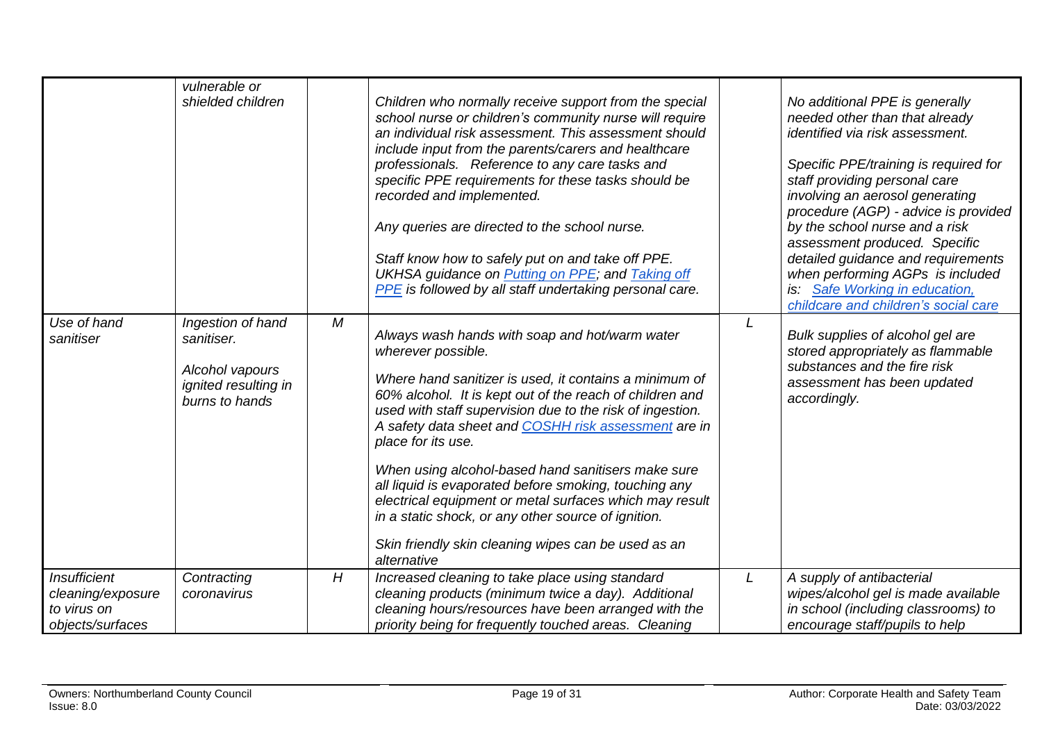|                                                                             | vulnerable or<br>shielded children                                                           |   | Children who normally receive support from the special<br>school nurse or children's community nurse will require<br>an individual risk assessment. This assessment should<br>include input from the parents/carers and healthcare<br>professionals. Reference to any care tasks and<br>specific PPE requirements for these tasks should be<br>recorded and implemented.<br>Any queries are directed to the school nurse.<br>Staff know how to safely put on and take off PPE.<br><b>UKHSA guidance on Putting on PPE; and Taking off</b><br>PPE is followed by all staff undertaking personal care.                                         |   | No additional PPE is generally<br>needed other than that already<br>identified via risk assessment.<br>Specific PPE/training is required for<br>staff providing personal care<br>involving an aerosol generating<br>procedure (AGP) - advice is provided<br>by the school nurse and a risk<br>assessment produced. Specific<br>detailed guidance and requirements<br>when performing AGPs is included<br>is: Safe Working in education,<br>childcare and children's social care |
|-----------------------------------------------------------------------------|----------------------------------------------------------------------------------------------|---|----------------------------------------------------------------------------------------------------------------------------------------------------------------------------------------------------------------------------------------------------------------------------------------------------------------------------------------------------------------------------------------------------------------------------------------------------------------------------------------------------------------------------------------------------------------------------------------------------------------------------------------------|---|---------------------------------------------------------------------------------------------------------------------------------------------------------------------------------------------------------------------------------------------------------------------------------------------------------------------------------------------------------------------------------------------------------------------------------------------------------------------------------|
| Use of hand<br>sanitiser                                                    | Ingestion of hand<br>sanitiser.<br>Alcohol vapours<br>ignited resulting in<br>burns to hands | M | Always wash hands with soap and hot/warm water<br>wherever possible.<br>Where hand sanitizer is used, it contains a minimum of<br>60% alcohol. It is kept out of the reach of children and<br>used with staff supervision due to the risk of ingestion.<br>A safety data sheet and COSHH risk assessment are in<br>place for its use.<br>When using alcohol-based hand sanitisers make sure<br>all liquid is evaporated before smoking, touching any<br>electrical equipment or metal surfaces which may result<br>in a static shock, or any other source of ignition.<br>Skin friendly skin cleaning wipes can be used as an<br>alternative |   | Bulk supplies of alcohol gel are<br>stored appropriately as flammable<br>substances and the fire risk<br>assessment has been updated<br>accordingly.                                                                                                                                                                                                                                                                                                                            |
| <b>Insufficient</b><br>cleaning/exposure<br>to virus on<br>objects/surfaces | Contracting<br>coronavirus                                                                   | H | Increased cleaning to take place using standard<br>cleaning products (minimum twice a day). Additional<br>cleaning hours/resources have been arranged with the<br>priority being for frequently touched areas. Cleaning                                                                                                                                                                                                                                                                                                                                                                                                                      | L | A supply of antibacterial<br>wipes/alcohol gel is made available<br>in school (including classrooms) to<br>encourage staff/pupils to help                                                                                                                                                                                                                                                                                                                                       |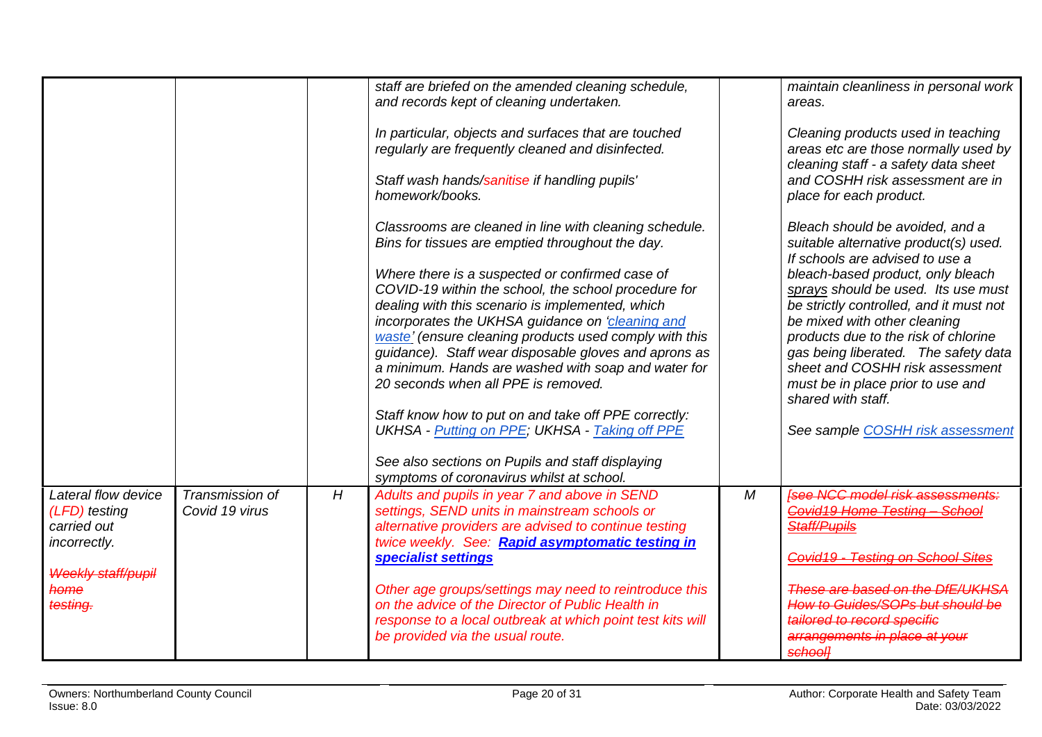<span id="page-19-0"></span>

|                                                                     |                                   |   | staff are briefed on the amended cleaning schedule,<br>and records kept of cleaning undertaken.                                                                                                                 |   | maintain cleanliness in personal work<br>areas.                                                                                                     |
|---------------------------------------------------------------------|-----------------------------------|---|-----------------------------------------------------------------------------------------------------------------------------------------------------------------------------------------------------------------|---|-----------------------------------------------------------------------------------------------------------------------------------------------------|
|                                                                     |                                   |   | In particular, objects and surfaces that are touched<br>regularly are frequently cleaned and disinfected.                                                                                                       |   | Cleaning products used in teaching<br>areas etc are those normally used by<br>cleaning staff - a safety data sheet                                  |
|                                                                     |                                   |   | Staff wash hands/sanitise if handling pupils'<br>homework/books.                                                                                                                                                |   | and COSHH risk assessment are in<br>place for each product.                                                                                         |
|                                                                     |                                   |   | Classrooms are cleaned in line with cleaning schedule.<br>Bins for tissues are emptied throughout the day.                                                                                                      |   | Bleach should be avoided, and a<br>suitable alternative product(s) used.<br>If schools are advised to use a                                         |
|                                                                     |                                   |   | Where there is a suspected or confirmed case of<br>COVID-19 within the school, the school procedure for<br>dealing with this scenario is implemented, which<br>incorporates the UKHSA guidance on 'cleaning and |   | bleach-based product, only bleach<br>sprays should be used. Its use must<br>be strictly controlled, and it must not<br>be mixed with other cleaning |
|                                                                     |                                   |   | waste' (ensure cleaning products used comply with this<br>guidance). Staff wear disposable gloves and aprons as<br>a minimum. Hands are washed with soap and water for                                          |   | products due to the risk of chlorine<br>gas being liberated. The safety data<br>sheet and COSHH risk assessment                                     |
|                                                                     |                                   |   | 20 seconds when all PPE is removed.<br>Staff know how to put on and take off PPE correctly:                                                                                                                     |   | must be in place prior to use and<br>shared with staff.                                                                                             |
|                                                                     |                                   |   | <b>UKHSA</b> - Putting on PPE; UKHSA - Taking off PPE                                                                                                                                                           |   | See sample COSHH risk assessment                                                                                                                    |
|                                                                     |                                   |   | See also sections on Pupils and staff displaying<br>symptoms of coronavirus whilst at school.                                                                                                                   |   |                                                                                                                                                     |
| Lateral flow device<br>(LFD) testing<br>carried out<br>incorrectly. | Transmission of<br>Covid 19 virus | H | Adults and pupils in year 7 and above in SEND<br>settings, SEND units in mainstream schools or<br>alternative providers are advised to continue testing<br>twice weekly. See: Rapid asymptomatic testing in     | M | <b>[see NCC model risk assessments:</b><br>Covid19 Home Testing - School<br>Staff/Pupils                                                            |
| <b>Weekly staff/pupil</b>                                           |                                   |   | specialist settings                                                                                                                                                                                             |   | Covid19 - Testing on School Sites                                                                                                                   |
| home<br>testing.                                                    |                                   |   | Other age groups/settings may need to reintroduce this<br>on the advice of the Director of Public Health in<br>response to a local outbreak at which point test kits will<br>be provided via the usual route.   |   | These are based on the DfE/UKHSA<br>How to Guides/SOPs but should be<br>tailored to record specific<br>arrangements in place at your                |
|                                                                     |                                   |   |                                                                                                                                                                                                                 |   | <b>school]</b>                                                                                                                                      |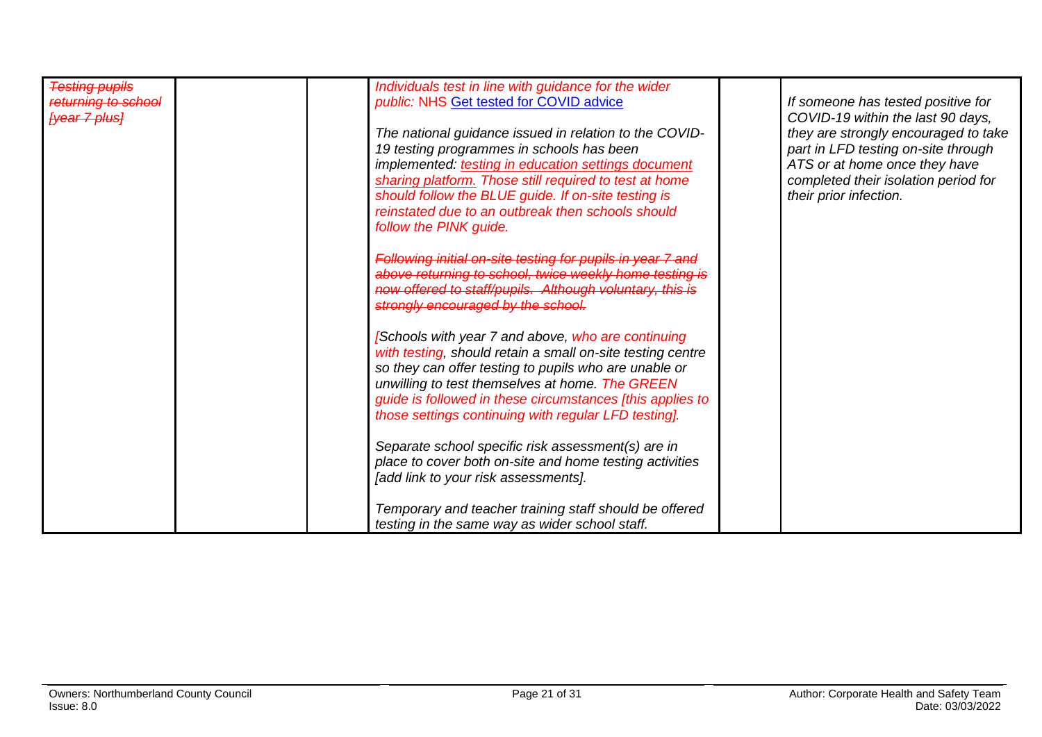|                                                            | If someone has tested positive for                                                                                                                                                                                                                                                                                                                                                                                                                                                                                                                                                                                                                                                                                                                                                                                                                                                                                                                                                                                                                                                                                                                                                        |
|------------------------------------------------------------|-------------------------------------------------------------------------------------------------------------------------------------------------------------------------------------------------------------------------------------------------------------------------------------------------------------------------------------------------------------------------------------------------------------------------------------------------------------------------------------------------------------------------------------------------------------------------------------------------------------------------------------------------------------------------------------------------------------------------------------------------------------------------------------------------------------------------------------------------------------------------------------------------------------------------------------------------------------------------------------------------------------------------------------------------------------------------------------------------------------------------------------------------------------------------------------------|
|                                                            | COVID-19 within the last 90 days,                                                                                                                                                                                                                                                                                                                                                                                                                                                                                                                                                                                                                                                                                                                                                                                                                                                                                                                                                                                                                                                                                                                                                         |
|                                                            | they are strongly encouraged to take                                                                                                                                                                                                                                                                                                                                                                                                                                                                                                                                                                                                                                                                                                                                                                                                                                                                                                                                                                                                                                                                                                                                                      |
|                                                            | part in LFD testing on-site through                                                                                                                                                                                                                                                                                                                                                                                                                                                                                                                                                                                                                                                                                                                                                                                                                                                                                                                                                                                                                                                                                                                                                       |
|                                                            | ATS or at home once they have                                                                                                                                                                                                                                                                                                                                                                                                                                                                                                                                                                                                                                                                                                                                                                                                                                                                                                                                                                                                                                                                                                                                                             |
|                                                            |                                                                                                                                                                                                                                                                                                                                                                                                                                                                                                                                                                                                                                                                                                                                                                                                                                                                                                                                                                                                                                                                                                                                                                                           |
|                                                            | completed their isolation period for                                                                                                                                                                                                                                                                                                                                                                                                                                                                                                                                                                                                                                                                                                                                                                                                                                                                                                                                                                                                                                                                                                                                                      |
|                                                            | their prior infection.                                                                                                                                                                                                                                                                                                                                                                                                                                                                                                                                                                                                                                                                                                                                                                                                                                                                                                                                                                                                                                                                                                                                                                    |
|                                                            |                                                                                                                                                                                                                                                                                                                                                                                                                                                                                                                                                                                                                                                                                                                                                                                                                                                                                                                                                                                                                                                                                                                                                                                           |
|                                                            |                                                                                                                                                                                                                                                                                                                                                                                                                                                                                                                                                                                                                                                                                                                                                                                                                                                                                                                                                                                                                                                                                                                                                                                           |
|                                                            |                                                                                                                                                                                                                                                                                                                                                                                                                                                                                                                                                                                                                                                                                                                                                                                                                                                                                                                                                                                                                                                                                                                                                                                           |
| Following initial on-site testing for pupils in year 7 and |                                                                                                                                                                                                                                                                                                                                                                                                                                                                                                                                                                                                                                                                                                                                                                                                                                                                                                                                                                                                                                                                                                                                                                                           |
|                                                            |                                                                                                                                                                                                                                                                                                                                                                                                                                                                                                                                                                                                                                                                                                                                                                                                                                                                                                                                                                                                                                                                                                                                                                                           |
|                                                            |                                                                                                                                                                                                                                                                                                                                                                                                                                                                                                                                                                                                                                                                                                                                                                                                                                                                                                                                                                                                                                                                                                                                                                                           |
|                                                            |                                                                                                                                                                                                                                                                                                                                                                                                                                                                                                                                                                                                                                                                                                                                                                                                                                                                                                                                                                                                                                                                                                                                                                                           |
|                                                            |                                                                                                                                                                                                                                                                                                                                                                                                                                                                                                                                                                                                                                                                                                                                                                                                                                                                                                                                                                                                                                                                                                                                                                                           |
|                                                            |                                                                                                                                                                                                                                                                                                                                                                                                                                                                                                                                                                                                                                                                                                                                                                                                                                                                                                                                                                                                                                                                                                                                                                                           |
|                                                            |                                                                                                                                                                                                                                                                                                                                                                                                                                                                                                                                                                                                                                                                                                                                                                                                                                                                                                                                                                                                                                                                                                                                                                                           |
|                                                            |                                                                                                                                                                                                                                                                                                                                                                                                                                                                                                                                                                                                                                                                                                                                                                                                                                                                                                                                                                                                                                                                                                                                                                                           |
|                                                            |                                                                                                                                                                                                                                                                                                                                                                                                                                                                                                                                                                                                                                                                                                                                                                                                                                                                                                                                                                                                                                                                                                                                                                                           |
|                                                            |                                                                                                                                                                                                                                                                                                                                                                                                                                                                                                                                                                                                                                                                                                                                                                                                                                                                                                                                                                                                                                                                                                                                                                                           |
|                                                            |                                                                                                                                                                                                                                                                                                                                                                                                                                                                                                                                                                                                                                                                                                                                                                                                                                                                                                                                                                                                                                                                                                                                                                                           |
|                                                            |                                                                                                                                                                                                                                                                                                                                                                                                                                                                                                                                                                                                                                                                                                                                                                                                                                                                                                                                                                                                                                                                                                                                                                                           |
|                                                            |                                                                                                                                                                                                                                                                                                                                                                                                                                                                                                                                                                                                                                                                                                                                                                                                                                                                                                                                                                                                                                                                                                                                                                                           |
|                                                            |                                                                                                                                                                                                                                                                                                                                                                                                                                                                                                                                                                                                                                                                                                                                                                                                                                                                                                                                                                                                                                                                                                                                                                                           |
| place to cover both on-site and home testing activities    |                                                                                                                                                                                                                                                                                                                                                                                                                                                                                                                                                                                                                                                                                                                                                                                                                                                                                                                                                                                                                                                                                                                                                                                           |
|                                                            |                                                                                                                                                                                                                                                                                                                                                                                                                                                                                                                                                                                                                                                                                                                                                                                                                                                                                                                                                                                                                                                                                                                                                                                           |
|                                                            |                                                                                                                                                                                                                                                                                                                                                                                                                                                                                                                                                                                                                                                                                                                                                                                                                                                                                                                                                                                                                                                                                                                                                                                           |
|                                                            |                                                                                                                                                                                                                                                                                                                                                                                                                                                                                                                                                                                                                                                                                                                                                                                                                                                                                                                                                                                                                                                                                                                                                                                           |
|                                                            |                                                                                                                                                                                                                                                                                                                                                                                                                                                                                                                                                                                                                                                                                                                                                                                                                                                                                                                                                                                                                                                                                                                                                                                           |
|                                                            | Individuals test in line with guidance for the wider<br>public: NHS Get tested for COVID advice<br>The national guidance issued in relation to the COVID-<br>19 testing programmes in schools has been<br>implemented: testing in education settings document<br>sharing platform. Those still required to test at home<br>should follow the BLUE guide. If on-site testing is<br>reinstated due to an outbreak then schools should<br>follow the PINK guide.<br>above returning to school, twice weekly home testing is<br>now offered to staff/pupils. Although voluntary, this is<br>strongly encouraged by the school.<br>[Schools with year 7 and above, who are continuing<br>with testing, should retain a small on-site testing centre<br>so they can offer testing to pupils who are unable or<br>unwilling to test themselves at home. The GREEN<br>guide is followed in these circumstances [this applies to<br>those settings continuing with regular LFD testing].<br>Separate school specific risk assessment(s) are in<br>[add link to your risk assessments].<br>Temporary and teacher training staff should be offered<br>testing in the same way as wider school staff. |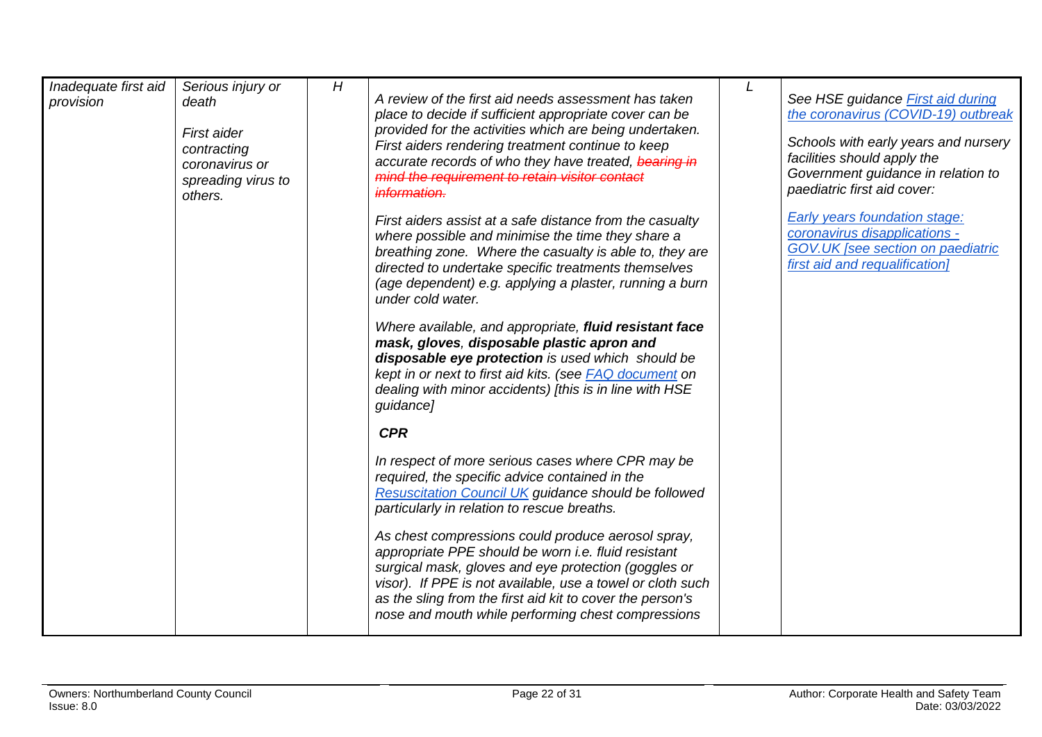| Inadequate first aid<br>provision | Serious injury or<br>death<br>First aider<br>contracting<br>coronavirus or<br>spreading virus to<br>others. | H | A review of the first aid needs assessment has taken<br>place to decide if sufficient appropriate cover can be<br>provided for the activities which are being undertaken.<br>First aiders rendering treatment continue to keep<br>accurate records of who they have treated, bearing in<br>mind the requirement to retain visitor contact<br>information. | See HSE guidance First aid during<br>the coronavirus (COVID-19) outbreak<br>Schools with early years and nursery<br>facilities should apply the<br>Government guidance in relation to<br>paediatric first aid cover: |
|-----------------------------------|-------------------------------------------------------------------------------------------------------------|---|-----------------------------------------------------------------------------------------------------------------------------------------------------------------------------------------------------------------------------------------------------------------------------------------------------------------------------------------------------------|----------------------------------------------------------------------------------------------------------------------------------------------------------------------------------------------------------------------|
|                                   |                                                                                                             |   | First aiders assist at a safe distance from the casualty<br>where possible and minimise the time they share a<br>breathing zone. Where the casualty is able to, they are<br>directed to undertake specific treatments themselves<br>(age dependent) e.g. applying a plaster, running a burn<br>under cold water.                                          | <b>Early years foundation stage:</b><br>coronavirus disapplications -<br>GOV.UK [see section on paediatric<br>first aid and requalification]                                                                         |
|                                   |                                                                                                             |   | Where available, and appropriate, fluid resistant face<br>mask, gloves, disposable plastic apron and<br>disposable eye protection is used which should be<br>kept in or next to first aid kits. (see <b>FAQ</b> document on<br>dealing with minor accidents) [this is in line with HSE<br>guidance]                                                       |                                                                                                                                                                                                                      |
|                                   |                                                                                                             |   | <b>CPR</b>                                                                                                                                                                                                                                                                                                                                                |                                                                                                                                                                                                                      |
|                                   |                                                                                                             |   | In respect of more serious cases where CPR may be<br>required, the specific advice contained in the<br><b>Resuscitation Council UK guidance should be followed</b><br>particularly in relation to rescue breaths.                                                                                                                                         |                                                                                                                                                                                                                      |
|                                   |                                                                                                             |   | As chest compressions could produce aerosol spray,<br>appropriate PPE should be worn i.e. fluid resistant<br>surgical mask, gloves and eye protection (goggles or<br>visor). If PPE is not available, use a towel or cloth such<br>as the sling from the first aid kit to cover the person's<br>nose and mouth while performing chest compressions        |                                                                                                                                                                                                                      |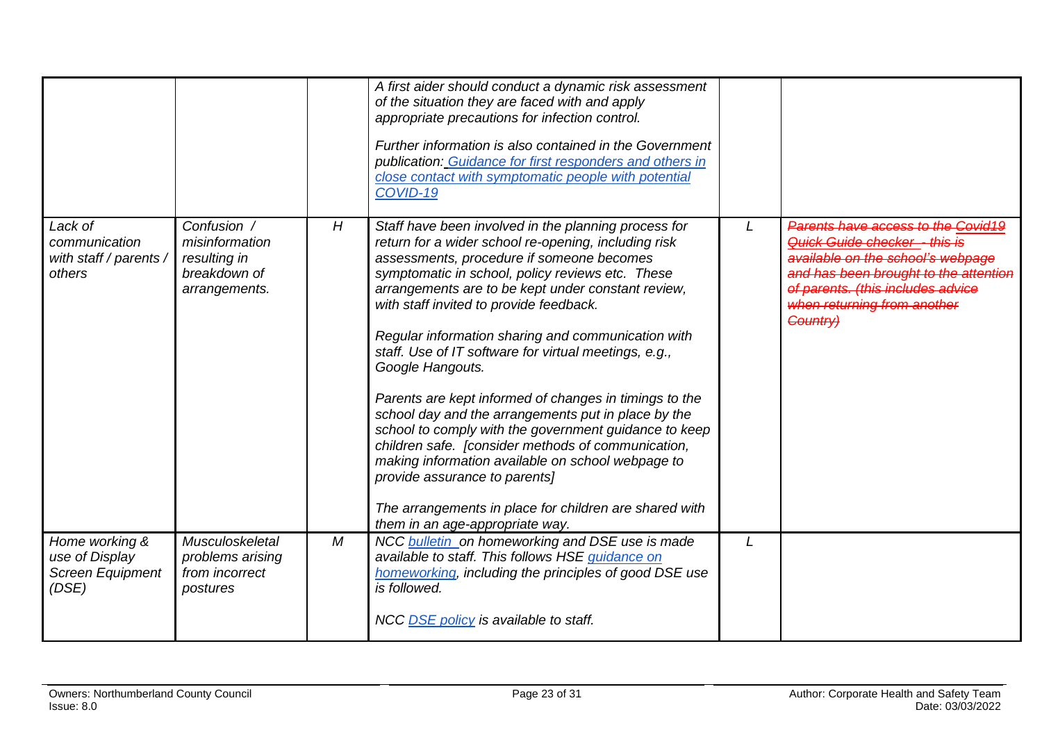|                                                               |                                                                                |   | A first aider should conduct a dynamic risk assessment<br>of the situation they are faced with and apply<br>appropriate precautions for infection control.<br>Further information is also contained in the Government<br>publication: Guidance for first responders and others in<br>close contact with symptomatic people with potential<br>COVID-19                                                                                                                                                                                                                                                                                                                                                                                                                                                                                                                |   |                                                                                                                                                                                                                                   |
|---------------------------------------------------------------|--------------------------------------------------------------------------------|---|----------------------------------------------------------------------------------------------------------------------------------------------------------------------------------------------------------------------------------------------------------------------------------------------------------------------------------------------------------------------------------------------------------------------------------------------------------------------------------------------------------------------------------------------------------------------------------------------------------------------------------------------------------------------------------------------------------------------------------------------------------------------------------------------------------------------------------------------------------------------|---|-----------------------------------------------------------------------------------------------------------------------------------------------------------------------------------------------------------------------------------|
| Lack of<br>communication<br>with staff / parents /<br>others  | Confusion /<br>misinformation<br>resulting in<br>breakdown of<br>arrangements. | H | Staff have been involved in the planning process for<br>return for a wider school re-opening, including risk<br>assessments, procedure if someone becomes<br>symptomatic in school, policy reviews etc. These<br>arrangements are to be kept under constant review,<br>with staff invited to provide feedback.<br>Regular information sharing and communication with<br>staff. Use of IT software for virtual meetings, e.g.,<br>Google Hangouts.<br>Parents are kept informed of changes in timings to the<br>school day and the arrangements put in place by the<br>school to comply with the government guidance to keep<br>children safe. [consider methods of communication,<br>making information available on school webpage to<br>provide assurance to parents]<br>The arrangements in place for children are shared with<br>them in an age-appropriate way. | L | Parents have access to the Covid19<br>Quick Guide checker - this is<br>available on the school's webpage<br>and has been brought to the attention<br>of parents. (this includes advice<br>when returning from another<br>Country) |
| Home working &<br>use of Display<br>Screen Equipment<br>(DSE) | Musculoskeletal<br>problems arising<br>from incorrect<br>postures              | M | NCC bulletin on homeworking and DSE use is made<br>available to staff. This follows HSE guidance on<br>homeworking, including the principles of good DSE use<br>is followed.<br>NCC DSE policy is available to staff.                                                                                                                                                                                                                                                                                                                                                                                                                                                                                                                                                                                                                                                | L |                                                                                                                                                                                                                                   |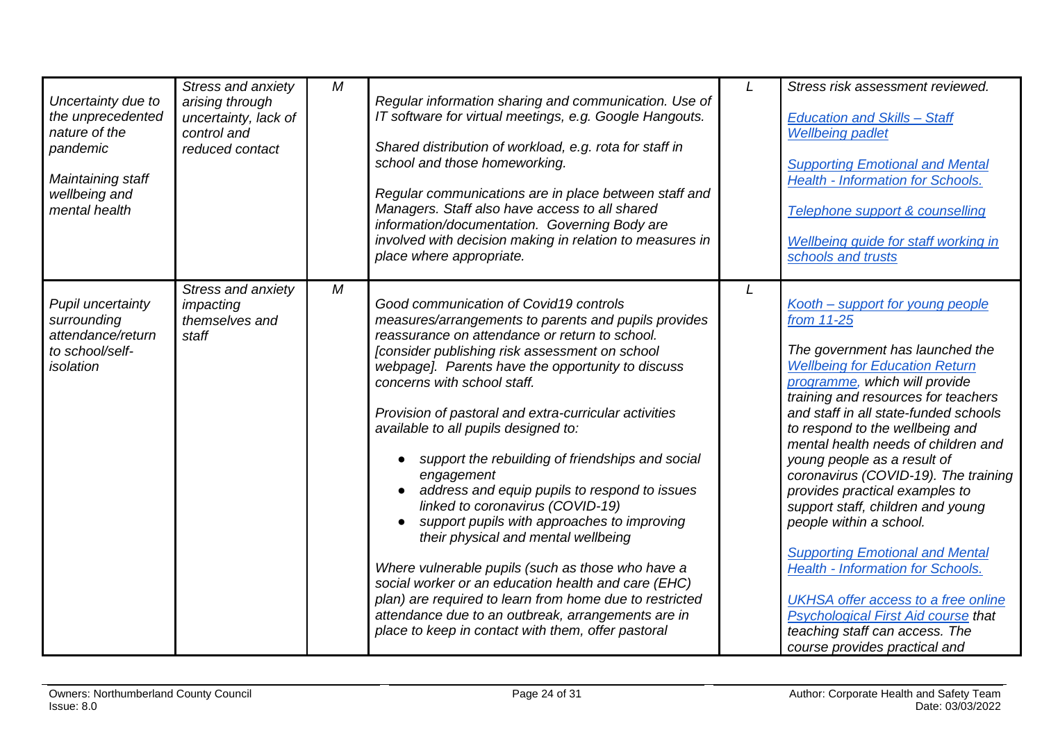| Uncertainty due to<br>the unprecedented<br>nature of the<br>pandemic<br>Maintaining staff<br>wellbeing and<br>mental health | Stress and anxiety<br>arising through<br>uncertainty, lack of<br>control and<br>reduced contact | M | Regular information sharing and communication. Use of<br>IT software for virtual meetings, e.g. Google Hangouts.<br>Shared distribution of workload, e.g. rota for staff in<br>school and those homeworking.<br>Regular communications are in place between staff and<br>Managers. Staff also have access to all shared<br>information/documentation. Governing Body are<br>involved with decision making in relation to measures in<br>place where appropriate.                                                                                                                                                                                                                                                                                                                                                                                                                                                        |   | Stress risk assessment reviewed.<br><b>Education and Skills - Staff</b><br><b>Wellbeing padlet</b><br><b>Supporting Emotional and Mental</b><br><b>Health - Information for Schools.</b><br>Telephone support & counselling<br>Wellbeing guide for staff working in<br>schools and trusts                                                                                                                                                                                                                                                                                                                                                                                                                                                    |
|-----------------------------------------------------------------------------------------------------------------------------|-------------------------------------------------------------------------------------------------|---|-------------------------------------------------------------------------------------------------------------------------------------------------------------------------------------------------------------------------------------------------------------------------------------------------------------------------------------------------------------------------------------------------------------------------------------------------------------------------------------------------------------------------------------------------------------------------------------------------------------------------------------------------------------------------------------------------------------------------------------------------------------------------------------------------------------------------------------------------------------------------------------------------------------------------|---|----------------------------------------------------------------------------------------------------------------------------------------------------------------------------------------------------------------------------------------------------------------------------------------------------------------------------------------------------------------------------------------------------------------------------------------------------------------------------------------------------------------------------------------------------------------------------------------------------------------------------------------------------------------------------------------------------------------------------------------------|
| Pupil uncertainty<br>surrounding<br>attendance/return<br>to school/self-<br>isolation                                       | Stress and anxiety<br>impacting<br>themselves and<br>staff                                      | M | Good communication of Covid19 controls<br>measures/arrangements to parents and pupils provides<br>reassurance on attendance or return to school.<br>[consider publishing risk assessment on school<br>webpage]. Parents have the opportunity to discuss<br>concerns with school staff.<br>Provision of pastoral and extra-curricular activities<br>available to all pupils designed to:<br>support the rebuilding of friendships and social<br>engagement<br>address and equip pupils to respond to issues<br>linked to coronavirus (COVID-19)<br>support pupils with approaches to improving<br>their physical and mental wellbeing<br>Where vulnerable pupils (such as those who have a<br>social worker or an education health and care (EHC)<br>plan) are required to learn from home due to restricted<br>attendance due to an outbreak, arrangements are in<br>place to keep in contact with them, offer pastoral | L | Kooth - support for young people<br>from 11-25<br>The government has launched the<br><b>Wellbeing for Education Return</b><br>programme, which will provide<br>training and resources for teachers<br>and staff in all state-funded schools<br>to respond to the wellbeing and<br>mental health needs of children and<br>young people as a result of<br>coronavirus (COVID-19). The training<br>provides practical examples to<br>support staff, children and young<br>people within a school.<br><b>Supporting Emotional and Mental</b><br><b>Health - Information for Schools.</b><br><b>UKHSA</b> offer access to a free online<br>Psychological First Aid course that<br>teaching staff can access. The<br>course provides practical and |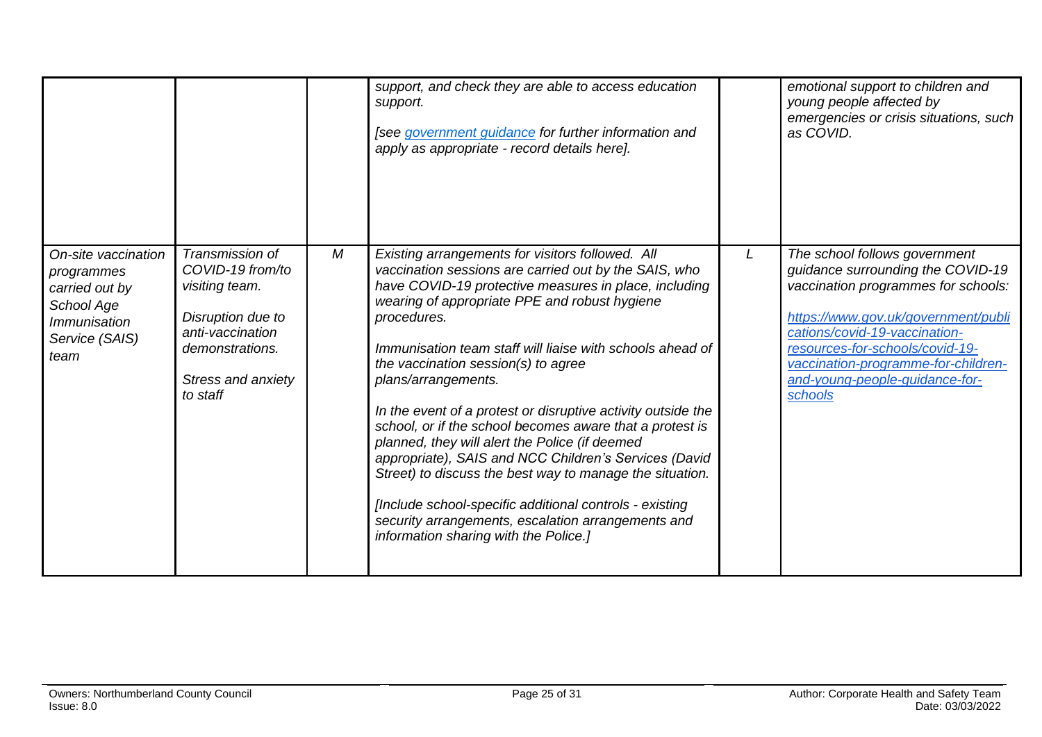<span id="page-24-0"></span>

|                                                                                                                           |                                                                                                                                                            |   | support, and check they are able to access education<br>support.<br>[see government guidance for further information and<br>apply as appropriate - record details here].                                                                                                                                                                                                                                                                                                                                                                                                                                                                                                                                                                                                                                                   |   | emotional support to children and<br>young people affected by<br>emergencies or crisis situations, such<br>as COVID.                                                                                                                                                                                     |
|---------------------------------------------------------------------------------------------------------------------------|------------------------------------------------------------------------------------------------------------------------------------------------------------|---|----------------------------------------------------------------------------------------------------------------------------------------------------------------------------------------------------------------------------------------------------------------------------------------------------------------------------------------------------------------------------------------------------------------------------------------------------------------------------------------------------------------------------------------------------------------------------------------------------------------------------------------------------------------------------------------------------------------------------------------------------------------------------------------------------------------------------|---|----------------------------------------------------------------------------------------------------------------------------------------------------------------------------------------------------------------------------------------------------------------------------------------------------------|
| On-site vaccination<br>programmes<br>carried out by<br>School Age<br><i><b>Immunisation</b></i><br>Service (SAIS)<br>team | Transmission of<br>COVID-19 from/to<br>visiting team.<br>Disruption due to<br>anti-vaccination<br>demonstrations.<br><b>Stress and anxiety</b><br>to staff | М | Existing arrangements for visitors followed. All<br>vaccination sessions are carried out by the SAIS, who<br>have COVID-19 protective measures in place, including<br>wearing of appropriate PPE and robust hygiene<br>procedures.<br>Immunisation team staff will liaise with schools ahead of<br>the vaccination session(s) to agree<br>plans/arrangements.<br>In the event of a protest or disruptive activity outside the<br>school, or if the school becomes aware that a protest is<br>planned, they will alert the Police (if deemed<br>appropriate), SAIS and NCC Children's Services (David<br>Street) to discuss the best way to manage the situation.<br>[Include school-specific additional controls - existing<br>security arrangements, escalation arrangements and<br>information sharing with the Police.] | L | The school follows government<br>guidance surrounding the COVID-19<br>vaccination programmes for schools:<br>https://www.gov.uk/government/publi<br>cations/covid-19-vaccination-<br>resources-for-schools/covid-19-<br>vaccination-programme-for-children-<br>and-young-people-quidance-for-<br>schools |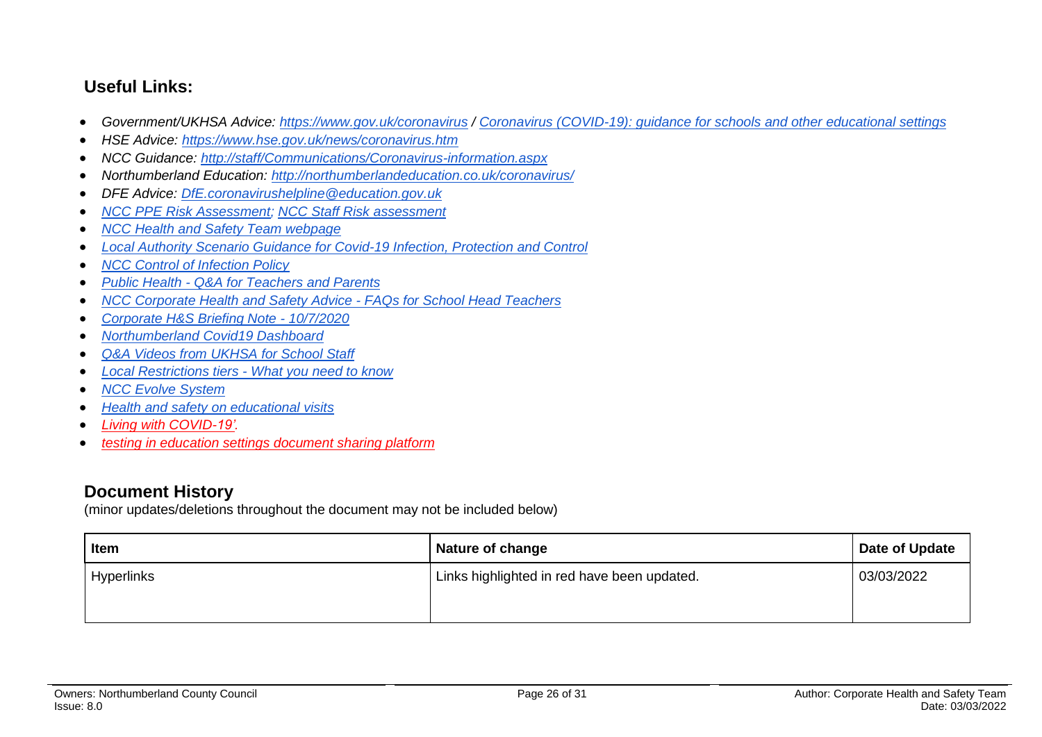## **Useful Links:**

- *Government/UKHSA Advice:<https://www.gov.uk/coronavirus> / [Coronavirus \(COVID-19\): guidance for schools and other educational settings](https://www.gov.uk/government/collections/coronavirus-covid-19-guidance-for-schools-and-other-educational-settings)*
- *HSE Advice:<https://www.hse.gov.uk/news/coronavirus.htm>*
- *NCC Guidance:<http://staff/Communications/Coronavirus-information.aspx>*
- *Northumberland Education:<http://northumberlandeducation.co.uk/coronavirus/>*
- *DFE Advice: [DfE.coronavirushelpline@education.gov.uk](mailto:DfE.coronavirushelpline@education.gov.uk)*
- *[NCC PPE Risk Assessment;](https://drive.google.com/open?id=1sUlE_jdLkBZdI43kOR6mYCzaiKlTeRzGkODE3qshrr4) [NCC Staff Risk assessment](https://docs.google.com/document/d/1GFWU1_ox_k5SlXHhDfxdwa_gNnBlCM60NNhXjr7Kf40/edit)*
- *[NCC Health and Safety Team webpage](https://www.northumberland.gov.uk/About/Staff.aspx#staffhealthsafety)*
- *[Local Authority Scenario Guidance for Covid-19 Infection, Protection and Control](https://docs.google.com/document/d/1v4ujp1l1zuF89TqDOED7T1kucMSPPyLnLQwor2CHq08/edit)*
- *[NCC Control of Infection Policy](https://www.northumberland.gov.uk/NorthumberlandCountyCouncil/media/About-the-Council/Staff%20Information/Health%20and%20safety/Policy%20Documents%20and%20Guidance/Control-of-Infection-Policy-August-2013-HR-Policy.docx)*
- *Public Health - [Q&A for Teachers and Parents](https://drive.google.com/file/d/17XV-sP7aRNuW59JxoHV6YQzh62rm1wRZ/view?usp=sharing)*
- *[NCC Corporate Health and Safety Advice -](https://northumberland365.sharepoint.com/:w:/s/StaffPortal/EZ8UvoW88aZCi74_cavsuuIBWlHIpnJFVMVn1mM_pulI3Q) FAQs for School Head Teachers*
- *[Corporate H&S Briefing Note -](https://docs.google.com/document/d/1qs4cbslP43wLz5MsoDJZ7OCTo_1AyQq76kXIc_KYhls/edit) 10/7/2020*
- *[Northumberland Covid19 Dashboard](https://public.tableau.com/profile/julian5701#!/vizhome/COVID-19inNorthumberland/Introduction)*
- *[Q&A Videos from UKHSA](https://northumberlandeducation.co.uk/qa-videos-to-help-school-staff-2/) for School Staff*
- *[Local Restrictions tiers -](https://www.gov.uk/guidance/local-restriction-tiers-what-you-need-to-know) What you need to know*
- *[NCC Evolve System](https://evolve.edufocus.co.uk/evco10/evchome_public.asp?domain=northumberlandvisits.org.uk)*
- *[Health and safety on educational visits](https://www.gov.uk/government/publications/health-and-safety-on-educational-visits/health-and-safety-on-educational-visits)*
- *[Living with COVID-19'.](https://gbr01.safelinks.protection.outlook.com/?url=https%3A%2F%2Fwww.gov.uk%2Fgovernment%2Fpublications%2Fcovid-19-response-living-with-covid-19%3Futm_source%3D24%2520February%25202022%2520C19%26utm_medium%3DDaily%2520Email%2520C19%26utm_campaign%3DDfE%2520C19&data=04%7C01%7Camanda.young%40northumberland.gov.uk%7Cc9a58d3c39634196a28c08d9f7a7b703%7Cbb13a9de829042f0a980dc3bdfe70f40%7C0%7C0%7C637813121968899616%7CUnknown%7CTWFpbGZsb3d8eyJWIjoiMC4wLjAwMDAiLCJQIjoiV2luMzIiLCJBTiI6Ik1haWwiLCJXVCI6Mn0%3D%7C3000&sdata=rE6WYoaFvmXqgnu%2Fsr3mkg39qkFr0%2B1N1jmYpfck6oI%3D&reserved=0)*
- *[testing in education settings document sharing platform](https://gbr01.safelinks.protection.outlook.com/?url=https%3A%2F%2Fdrive.google.com%2Fdrive%2Ffolders%2F1euurg-X9V9fy-PAa3HAok_6Hf0rXmMCW&data=04%7C01%7Camanda.young%40northumberland.gov.uk%7Cc9a58d3c39634196a28c08d9f7a7b703%7Cbb13a9de829042f0a980dc3bdfe70f40%7C0%7C0%7C637813121968899616%7CUnknown%7CTWFpbGZsb3d8eyJWIjoiMC4wLjAwMDAiLCJQIjoiV2luMzIiLCJBTiI6Ik1haWwiLCJXVCI6Mn0%3D%7C3000&sdata=%2B9djTb1BVw9qkSJCE%2F8llcAYi%2F9uSeEDndi%2B3fjZXpI%3D&reserved=0)*

## **Document History**

(minor updates/deletions throughout the document may not be included below)

| <b>Item</b>       | <b>Nature of change</b>                     | Date of Update |
|-------------------|---------------------------------------------|----------------|
| <b>Hyperlinks</b> | Links highlighted in red have been updated. | 03/03/2022     |
|                   |                                             |                |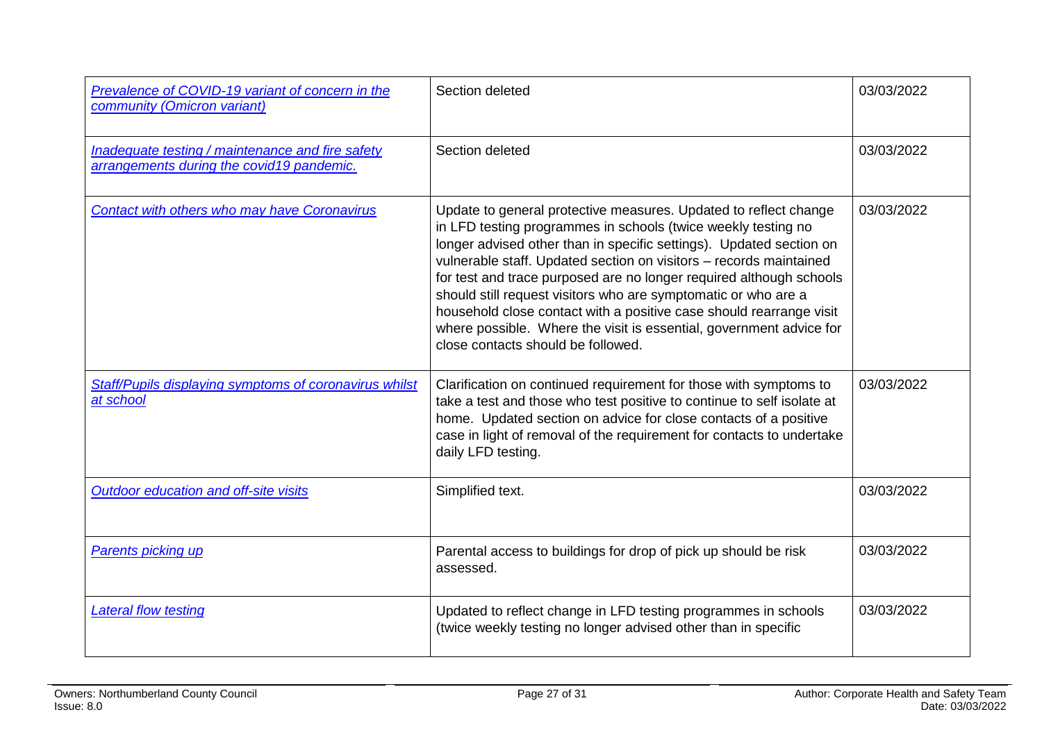| Prevalence of COVID-19 variant of concern in the<br>community (Omicron variant)               | Section deleted                                                                                                                                                                                                                                                                                                                                                                                                                                                                                                                                                                                             | 03/03/2022 |
|-----------------------------------------------------------------------------------------------|-------------------------------------------------------------------------------------------------------------------------------------------------------------------------------------------------------------------------------------------------------------------------------------------------------------------------------------------------------------------------------------------------------------------------------------------------------------------------------------------------------------------------------------------------------------------------------------------------------------|------------|
| Inadequate testing / maintenance and fire safety<br>arrangements during the covid19 pandemic. | Section deleted                                                                                                                                                                                                                                                                                                                                                                                                                                                                                                                                                                                             | 03/03/2022 |
| <b>Contact with others who may have Coronavirus</b>                                           | Update to general protective measures. Updated to reflect change<br>in LFD testing programmes in schools (twice weekly testing no<br>longer advised other than in specific settings). Updated section on<br>vulnerable staff. Updated section on visitors - records maintained<br>for test and trace purposed are no longer required although schools<br>should still request visitors who are symptomatic or who are a<br>household close contact with a positive case should rearrange visit<br>where possible. Where the visit is essential, government advice for<br>close contacts should be followed. | 03/03/2022 |
| Staff/Pupils displaying symptoms of coronavirus whilst<br>at school                           | Clarification on continued requirement for those with symptoms to<br>take a test and those who test positive to continue to self isolate at<br>home. Updated section on advice for close contacts of a positive<br>case in light of removal of the requirement for contacts to undertake<br>daily LFD testing.                                                                                                                                                                                                                                                                                              | 03/03/2022 |
| Outdoor education and off-site visits                                                         | Simplified text.                                                                                                                                                                                                                                                                                                                                                                                                                                                                                                                                                                                            | 03/03/2022 |
| <b>Parents picking up</b>                                                                     | Parental access to buildings for drop of pick up should be risk<br>assessed.                                                                                                                                                                                                                                                                                                                                                                                                                                                                                                                                | 03/03/2022 |
| <b>Lateral flow testing</b>                                                                   | Updated to reflect change in LFD testing programmes in schools<br>(twice weekly testing no longer advised other than in specific                                                                                                                                                                                                                                                                                                                                                                                                                                                                            | 03/03/2022 |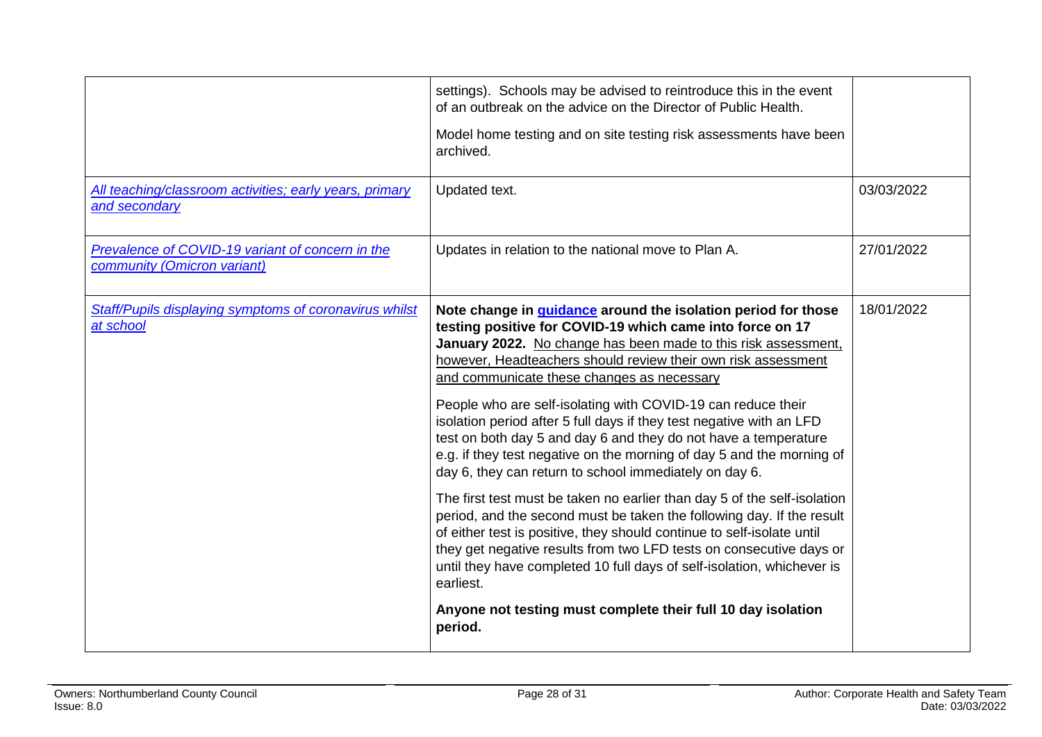|                                                                                 | settings). Schools may be advised to reintroduce this in the event<br>of an outbreak on the advice on the Director of Public Health.<br>Model home testing and on site testing risk assessments have been<br>archived.                                                                                                                                                                                                                                                                                                                                                                                                                                                                                                                                                                                                                                                                                                                                                                                                                                                                                                            |            |
|---------------------------------------------------------------------------------|-----------------------------------------------------------------------------------------------------------------------------------------------------------------------------------------------------------------------------------------------------------------------------------------------------------------------------------------------------------------------------------------------------------------------------------------------------------------------------------------------------------------------------------------------------------------------------------------------------------------------------------------------------------------------------------------------------------------------------------------------------------------------------------------------------------------------------------------------------------------------------------------------------------------------------------------------------------------------------------------------------------------------------------------------------------------------------------------------------------------------------------|------------|
| All teaching/classroom activities; early years, primary<br>and secondary        | Updated text.                                                                                                                                                                                                                                                                                                                                                                                                                                                                                                                                                                                                                                                                                                                                                                                                                                                                                                                                                                                                                                                                                                                     | 03/03/2022 |
| Prevalence of COVID-19 variant of concern in the<br>community (Omicron variant) | Updates in relation to the national move to Plan A.                                                                                                                                                                                                                                                                                                                                                                                                                                                                                                                                                                                                                                                                                                                                                                                                                                                                                                                                                                                                                                                                               | 27/01/2022 |
| Staff/Pupils displaying symptoms of coronavirus whilst<br>at school             | Note change in guidance around the isolation period for those<br>testing positive for COVID-19 which came into force on 17<br>January 2022. No change has been made to this risk assessment.<br>however, Headteachers should review their own risk assessment<br>and communicate these changes as necessary<br>People who are self-isolating with COVID-19 can reduce their<br>isolation period after 5 full days if they test negative with an LFD<br>test on both day 5 and day 6 and they do not have a temperature<br>e.g. if they test negative on the morning of day 5 and the morning of<br>day 6, they can return to school immediately on day 6.<br>The first test must be taken no earlier than day 5 of the self-isolation<br>period, and the second must be taken the following day. If the result<br>of either test is positive, they should continue to self-isolate until<br>they get negative results from two LFD tests on consecutive days or<br>until they have completed 10 full days of self-isolation, whichever is<br>earliest.<br>Anyone not testing must complete their full 10 day isolation<br>period. | 18/01/2022 |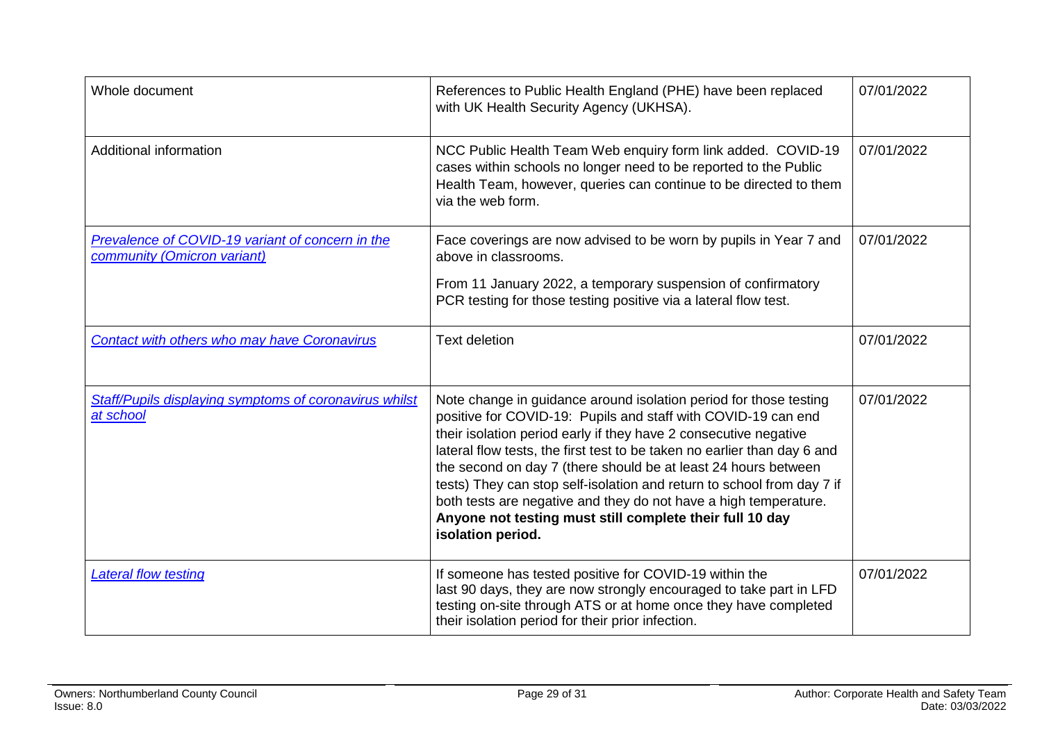| Whole document                                                                  | References to Public Health England (PHE) have been replaced<br>with UK Health Security Agency (UKHSA).                                                                                                                                                                                                                                                                                                                                                                                                                                                                             | 07/01/2022 |
|---------------------------------------------------------------------------------|-------------------------------------------------------------------------------------------------------------------------------------------------------------------------------------------------------------------------------------------------------------------------------------------------------------------------------------------------------------------------------------------------------------------------------------------------------------------------------------------------------------------------------------------------------------------------------------|------------|
| <b>Additional information</b>                                                   | NCC Public Health Team Web enquiry form link added. COVID-19<br>cases within schools no longer need to be reported to the Public<br>Health Team, however, queries can continue to be directed to them<br>via the web form.                                                                                                                                                                                                                                                                                                                                                          | 07/01/2022 |
| Prevalence of COVID-19 variant of concern in the<br>community (Omicron variant) | Face coverings are now advised to be worn by pupils in Year 7 and<br>above in classrooms.                                                                                                                                                                                                                                                                                                                                                                                                                                                                                           | 07/01/2022 |
|                                                                                 | From 11 January 2022, a temporary suspension of confirmatory<br>PCR testing for those testing positive via a lateral flow test.                                                                                                                                                                                                                                                                                                                                                                                                                                                     |            |
| <b>Contact with others who may have Coronavirus</b>                             | <b>Text deletion</b>                                                                                                                                                                                                                                                                                                                                                                                                                                                                                                                                                                | 07/01/2022 |
| Staff/Pupils displaying symptoms of coronavirus whilst<br>at school             | Note change in guidance around isolation period for those testing<br>positive for COVID-19: Pupils and staff with COVID-19 can end<br>their isolation period early if they have 2 consecutive negative<br>lateral flow tests, the first test to be taken no earlier than day 6 and<br>the second on day 7 (there should be at least 24 hours between<br>tests) They can stop self-isolation and return to school from day 7 if<br>both tests are negative and they do not have a high temperature.<br>Anyone not testing must still complete their full 10 day<br>isolation period. | 07/01/2022 |
| <b>Lateral flow testing</b>                                                     | If someone has tested positive for COVID-19 within the<br>last 90 days, they are now strongly encouraged to take part in LFD<br>testing on-site through ATS or at home once they have completed<br>their isolation period for their prior infection.                                                                                                                                                                                                                                                                                                                                | 07/01/2022 |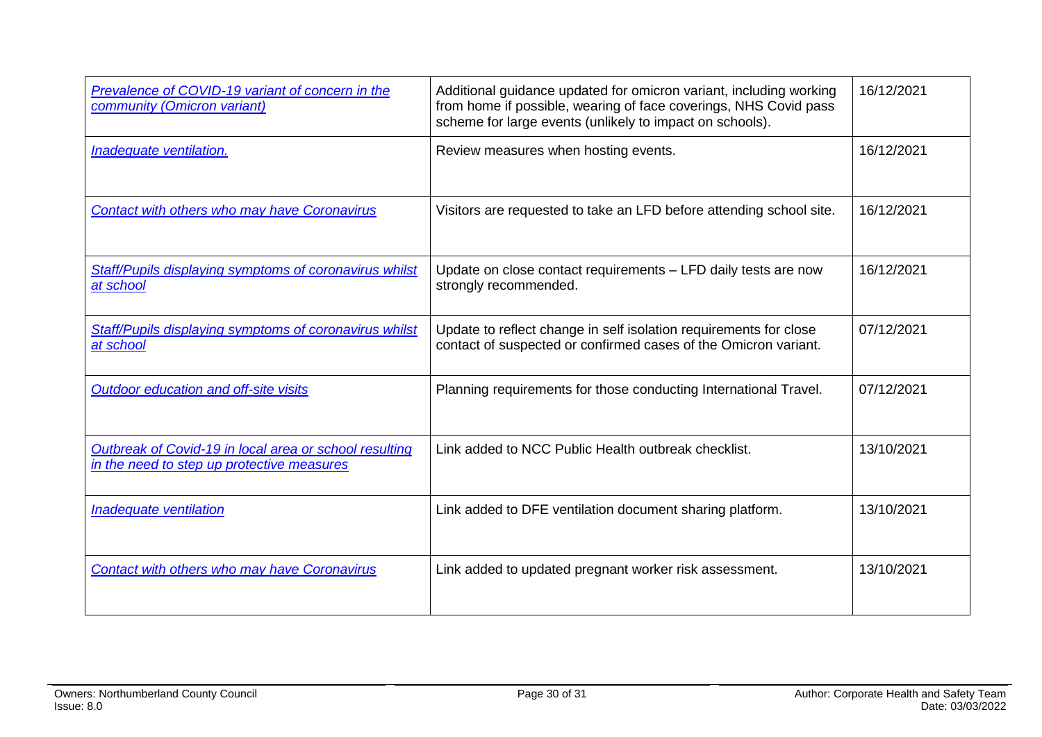| Prevalence of COVID-19 variant of concern in the<br>community (Omicron variant)                      | Additional guidance updated for omicron variant, including working<br>from home if possible, wearing of face coverings, NHS Covid pass<br>scheme for large events (unlikely to impact on schools). | 16/12/2021 |
|------------------------------------------------------------------------------------------------------|----------------------------------------------------------------------------------------------------------------------------------------------------------------------------------------------------|------------|
| Inadequate ventilation.                                                                              | Review measures when hosting events.                                                                                                                                                               | 16/12/2021 |
| Contact with others who may have Coronavirus                                                         | Visitors are requested to take an LFD before attending school site.                                                                                                                                | 16/12/2021 |
| <b>Staff/Pupils displaying symptoms of coronavirus whilst</b><br>at school                           | Update on close contact requirements - LFD daily tests are now<br>strongly recommended.                                                                                                            | 16/12/2021 |
| Staff/Pupils displaying symptoms of coronavirus whilst<br>at school                                  | Update to reflect change in self isolation requirements for close<br>contact of suspected or confirmed cases of the Omicron variant.                                                               | 07/12/2021 |
| Outdoor education and off-site visits                                                                | Planning requirements for those conducting International Travel.                                                                                                                                   | 07/12/2021 |
| Outbreak of Covid-19 in local area or school resulting<br>in the need to step up protective measures | Link added to NCC Public Health outbreak checklist.                                                                                                                                                | 13/10/2021 |
| Inadequate ventilation                                                                               | Link added to DFE ventilation document sharing platform.                                                                                                                                           | 13/10/2021 |
| Contact with others who may have Coronavirus                                                         | Link added to updated pregnant worker risk assessment.                                                                                                                                             | 13/10/2021 |